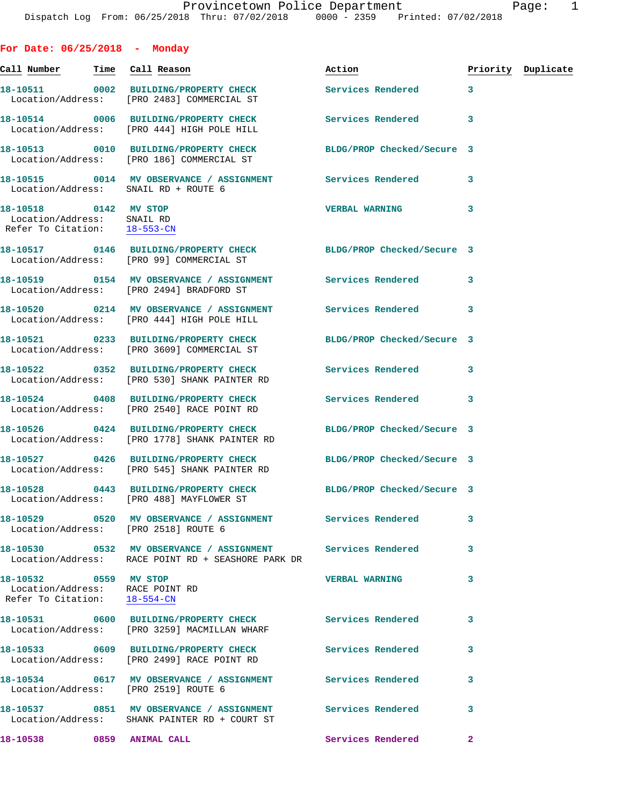**For Date: 06/25/2018 - Monday Call Number Time Call Reason Action Priority Duplicate 18-10511 0002 BUILDING/PROPERTY CHECK Services Rendered 3**  Location/Address: [PRO 2483] COMMERCIAL ST **18-10514 0006 BUILDING/PROPERTY CHECK Services Rendered 3**  Location/Address: [PRO 444] HIGH POLE HILL **18-10513 0010 BUILDING/PROPERTY CHECK BLDG/PROP Checked/Secure 3**  Location/Address: [PRO 186] COMMERCIAL ST **18-10515 0014 MV OBSERVANCE / ASSIGNMENT Services Rendered 3**  Location/Address: SNAIL RD + ROUTE 6 **18-10518 0142 MV STOP VERBAL WARNING 3**  Location/Address: SNAIL RD<br>Refer To Citation: 18-553-CN Refer To Citation: **18-10517 0146 BUILDING/PROPERTY CHECK BLDG/PROP Checked/Secure 3**  Location/Address: [PRO 99] COMMERCIAL ST **18-10519 0154 MV OBSERVANCE / ASSIGNMENT Services Rendered 3**  Location/Address: [PRO 2494] BRADFORD ST **18-10520 0214 MV OBSERVANCE / ASSIGNMENT Services Rendered 3**  Location/Address: [PRO 444] HIGH POLE HILL **18-10521 0233 BUILDING/PROPERTY CHECK BLDG/PROP Checked/Secure 3**  Location/Address: [PRO 3609] COMMERCIAL ST **18-10522 0352 BUILDING/PROPERTY CHECK Services Rendered 3**  Location/Address: [PRO 530] SHANK PAINTER RD **18-10524 0408 BUILDING/PROPERTY CHECK Services Rendered 3**  Location/Address: [PRO 2540] RACE POINT RD **18-10526 0424 BUILDING/PROPERTY CHECK BLDG/PROP Checked/Secure 3**  Location/Address: [PRO 1778] SHANK PAINTER RD **18-10527 0426 BUILDING/PROPERTY CHECK BLDG/PROP Checked/Secure 3**  Location/Address: [PRO 545] SHANK PAINTER RD **18-10528 0443 BUILDING/PROPERTY CHECK BLDG/PROP Checked/Secure 3**  Location/Address: [PRO 488] MAYFLOWER ST **18-10529 0520 MV OBSERVANCE / ASSIGNMENT Services Rendered 3**  Location/Address: [PRO 2518] ROUTE 6 **18-10530 0532 MV OBSERVANCE / ASSIGNMENT Services Rendered 3**  Location/Address: RACE POINT RD + SEASHORE PARK DR **18-10532 0559 MV STOP VERBAL WARNING 3**  Location/Address: RACE POINT RD Refer To Citation: 18-554-CN **18-10531 0600 BUILDING/PROPERTY CHECK Services Rendered 3**  Location/Address: [PRO 3259] MACMILLAN WHARF **18-10533 0609 BUILDING/PROPERTY CHECK Services Rendered 3**  Location/Address: [PRO 2499] RACE POINT RD **18-10534 0617 MV OBSERVANCE / ASSIGNMENT Services Rendered 3**  Location/Address: [PRO 2519] ROUTE 6

**18-10537 0851 MV OBSERVANCE / ASSIGNMENT Services Rendered 3**  Location/Address: SHANK PAINTER RD + COURT ST **18-10538 0859 ANIMAL CALL Services Rendered 2**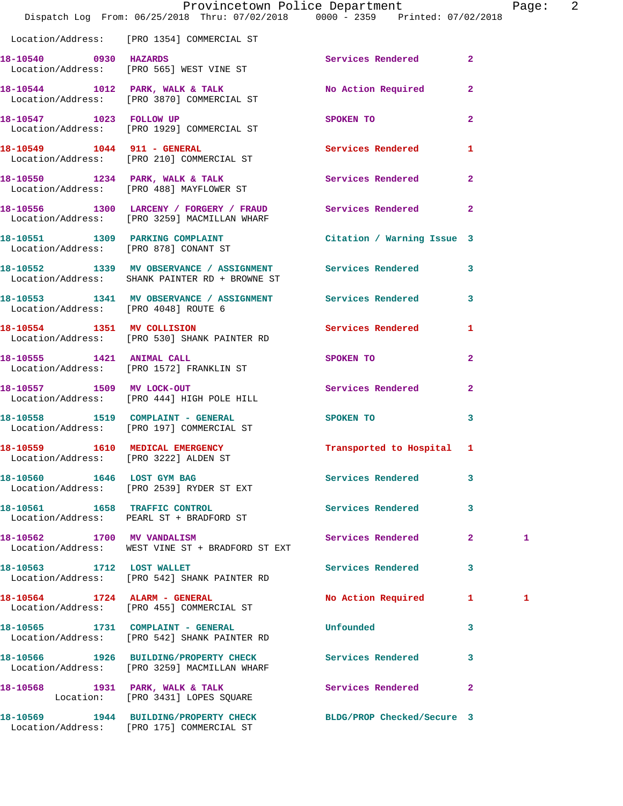|                                      | Provincetown Police Department<br>Dispatch Log From: 06/25/2018 Thru: 07/02/2018 0000 - 2359 Printed: 07/02/2018 |                                                                                                               | Page: 2                 |  |
|--------------------------------------|------------------------------------------------------------------------------------------------------------------|---------------------------------------------------------------------------------------------------------------|-------------------------|--|
|                                      | Location/Address: [PRO 1354] COMMERCIAL ST                                                                       |                                                                                                               |                         |  |
|                                      | 18-10540 0930 HAZARDS<br>Location/Address: [PRO 565] WEST VINE ST                                                | Services Rendered 2                                                                                           |                         |  |
|                                      | 18-10544 1012 PARK, WALK & TALK 1998 No Action Required 2<br>Location/Address: [PRO 3870] COMMERCIAL ST          |                                                                                                               |                         |  |
|                                      | 18-10547 1023 FOLLOW UP<br>Location/Address: [PRO 1929] COMMERCIAL ST                                            | SPOKEN TO DESCRIPTION OF REAL PROPERTY.                                                                       | $\overline{2}$          |  |
|                                      | 18-10549    1044    911 - GENERAL<br>Location/Address: [PRO 210] COMMERCIAL ST                                   | Services Rendered 1                                                                                           |                         |  |
|                                      | 18-10550 1234 PARK, WALK & TALK<br>Location/Address: [PRO 488] MAYFLOWER ST                                      | Services Rendered 2                                                                                           |                         |  |
|                                      | 18-10556 1300 LARCENY / FORGERY / FRAUD Services Rendered 2<br>Location/Address: [PRO 3259] MACMILLAN WHARF      |                                                                                                               |                         |  |
|                                      | 18-10551 1309 PARKING COMPLAINT<br>Location/Address: [PRO 878] CONANT ST                                         | Citation / Warning Issue 3                                                                                    |                         |  |
|                                      | 18-10552 1339 MV OBSERVANCE / ASSIGNMENT Services Rendered 3<br>Location/Address: SHANK PAINTER RD + BROWNE ST   |                                                                                                               |                         |  |
| Location/Address: [PRO 4048] ROUTE 6 | 18-10553 1341 MV OBSERVANCE / ASSIGNMENT Services Rendered 3                                                     |                                                                                                               |                         |  |
|                                      | 18-10554 1351 MV COLLISION<br>Location/Address: [PRO 530] SHANK PAINTER RD                                       | Services Rendered 1                                                                                           |                         |  |
|                                      | 18-10555 1421 ANIMAL CALL<br>Location/Address: [PRO 1572] FRANKLIN ST                                            | SPOKEN TO AND TO A STRUCK TO A THING OF THE STRUCK OF THE STRUCK OF THE STRUCK OF THE STRUCK OF THE STRUCK OF | $\mathbf{2}$            |  |
|                                      | 18-10557 1509 MV LOCK-OUT<br>Location/Address: [PRO 444] HIGH POLE HILL                                          | Services Rendered                                                                                             | $\mathbf{2}$            |  |
|                                      | 18-10558 1519 COMPLAINT - GENERAL<br>Location/Address: [PRO 197] COMMERCIAL ST                                   | SPOKEN TO AND TO A STATE OF THE STATE OF THE STATE OF THE STATE OF THE STATE OF THE STATE OF THE STATE OF THE | $\overline{\mathbf{3}}$ |  |
| 18-10559 1610 MEDICAL EMERGENCY      | Location/Address: [PRO 3222] ALDEN ST                                                                            | <b>Example 1</b> Transported to Hospital 1                                                                    |                         |  |
|                                      | 18-10560 1646 LOST GYM BAG<br>Location/Address: [PRO 2539] RYDER ST EXT                                          | Services Rendered                                                                                             | 3                       |  |
|                                      | 18-10561 1658 TRAFFIC CONTROL<br>Location/Address: PEARL ST + BRADFORD ST                                        | Services Rendered 3                                                                                           |                         |  |
|                                      | 18-10562 1700 MV VANDALISM<br>Location/Address: WEST VINE ST + BRADFORD ST EXT                                   | Services Rendered 2                                                                                           | 1                       |  |
| 18-10563 1712 LOST WALLET            | Location/Address: [PRO 542] SHANK PAINTER RD                                                                     | Services Rendered                                                                                             | 3                       |  |
|                                      | 18-10564 1724 ALARM - GENERAL<br>Location/Address: [PRO 455] COMMERCIAL ST                                       | No Action Required 1                                                                                          | 1                       |  |
|                                      | 18-10565 1731 COMPLAINT - GENERAL<br>Location/Address: [PRO 542] SHANK PAINTER RD                                | Unfounded                                                                                                     | 3                       |  |
|                                      | 18-10566 1926 BUILDING/PROPERTY CHECK Services Rendered 3<br>Location/Address: [PRO 3259] MACMILLAN WHARF        |                                                                                                               |                         |  |
|                                      | 18-10568 1931 PARK, WALK & TALK<br>Location: [PRO 3431] LOPES SQUARE                                             | Services Rendered                                                                                             | $\mathbf{2}$            |  |
|                                      | 18-10569 1944 BUILDING/PROPERTY CHECK BLDG/PROP Checked/Secure 3                                                 |                                                                                                               |                         |  |

Location/Address: [PRO 175] COMMERCIAL ST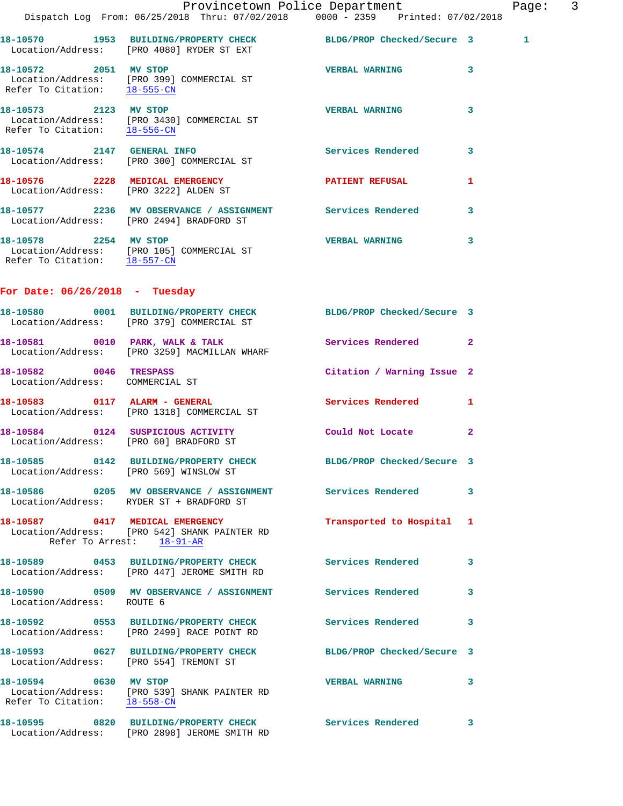|                                                           | Dispatch Log From: 06/25/2018 Thru: 07/02/2018 0000 - 2359 Printed: 07/02/2018                                | Provincetown Police Department |              | Page: 3 |  |
|-----------------------------------------------------------|---------------------------------------------------------------------------------------------------------------|--------------------------------|--------------|---------|--|
|                                                           | 18-10570 1953 BUILDING/PROPERTY CHECK BLDG/PROP Checked/Secure 3<br>Location/Address: [PRO 4080] RYDER ST EXT |                                |              | 1       |  |
| 18-10572 2051 MV STOP                                     | Location/Address: [PRO 399] COMMERCIAL ST<br>Refer To Citation: 18-555-CN                                     | VERBAL WARNING 3               |              |         |  |
| 18-10573 2123 MV STOP                                     | Location/Address: [PRO 3430] COMMERCIAL ST<br>Refer To Citation: 18-556-CM                                    | <b>VERBAL WARNING</b>          | $\mathbf{3}$ |         |  |
|                                                           | 18-10574 2147 GENERAL INFO<br>Location/Address: [PRO 300] COMMERCIAL ST                                       | Services Rendered 3            |              |         |  |
|                                                           | 18-10576 2228 MEDICAL EMERGENCY PATIENT REFUSAL<br>Location/Address: [PRO 3222] ALDEN ST                      |                                | 1            |         |  |
|                                                           | 18-10577 2236 MV OBSERVANCE / ASSIGNMENT Services Rendered 3<br>Location/Address: [PRO 2494] BRADFORD ST      |                                |              |         |  |
| 18-10578 2254 MV STOP                                     | Location/Address: [PRO 105] COMMERCIAL ST<br>Refer To Citation: 18-557-CN                                     | VERBAL WARNING 3               |              |         |  |
| For Date: $06/26/2018$ - Tuesday                          |                                                                                                               |                                |              |         |  |
|                                                           | 18-10580 0001 BUILDING/PROPERTY CHECK BLDG/PROP Checked/Secure 3<br>Location/Address: [PRO 379] COMMERCIAL ST |                                |              |         |  |
|                                                           | 18-10581 0010 PARK, WALK & TALK Services Rendered 2<br>Location/Address: [PRO 3259] MACMILLAN WHARF           |                                |              |         |  |
| 18-10582 0046 TRESPASS<br>Location/Address: COMMERCIAL ST |                                                                                                               | Citation / Warning Issue 2     |              |         |  |
|                                                           | 18-10583 0117 ALARM - GENERAL<br>Location/Address: [PRO 1318] COMMERCIAL ST                                   | Services Rendered 1            |              |         |  |
| Location/Address: [PRO 60] BRADFORD ST                    | 18-10584 0124 SUSPICIOUS ACTIVITY Could Not Locate                                                            |                                | $\mathbf{2}$ |         |  |
|                                                           | 18-10585 0142 BUILDING/PROPERTY CHECK<br>Location/Address: [PRO 569] WINSLOW ST                               | BLDG/PROP Checked/Secure 3     |              |         |  |
|                                                           | 18-10586 0205 MV OBSERVANCE / ASSIGNMENT Services Rendered 3<br>Location/Address: RYDER ST + BRADFORD ST      |                                |              |         |  |
|                                                           | 18-10587 0417 MEDICAL EMERGENCY<br>Location/Address: [PRO 542] SHANK PAINTER RD<br>Refer To Arrest: 18-91-AR  | Transported to Hospital 1      |              |         |  |
|                                                           | 18-10589 0453 BUILDING/PROPERTY CHECK Services Rendered<br>Location/Address: [PRO 447] JEROME SMITH RD        |                                | 3            |         |  |
| Location/Address: ROUTE 6                                 | 18-10590 0509 MV OBSERVANCE / ASSIGNMENT Services Rendered 3                                                  |                                |              |         |  |
|                                                           | 18-10592 0553 BUILDING/PROPERTY CHECK<br>Location/Address: [PRO 2499] RACE POINT RD                           | <b>Services Rendered</b>       | 3            |         |  |
| Location/Address: [PRO 554] TREMONT ST                    | 18-10593 0627 BUILDING/PROPERTY CHECK BLDG/PROP Checked/Secure 3                                              |                                |              |         |  |
| 18-10594 0630 MV STOP                                     | Location/Address: [PRO 539] SHANK PAINTER RD<br>Refer To Citation: 18-558-CN                                  | <b>VERBAL WARNING</b>          | 3            |         |  |
|                                                           | 18-10595 0820 BUILDING/PROPERTY CHECK Services Rendered 3<br>Location/Address: [PRO 2898] JEROME SMITH RD     |                                |              |         |  |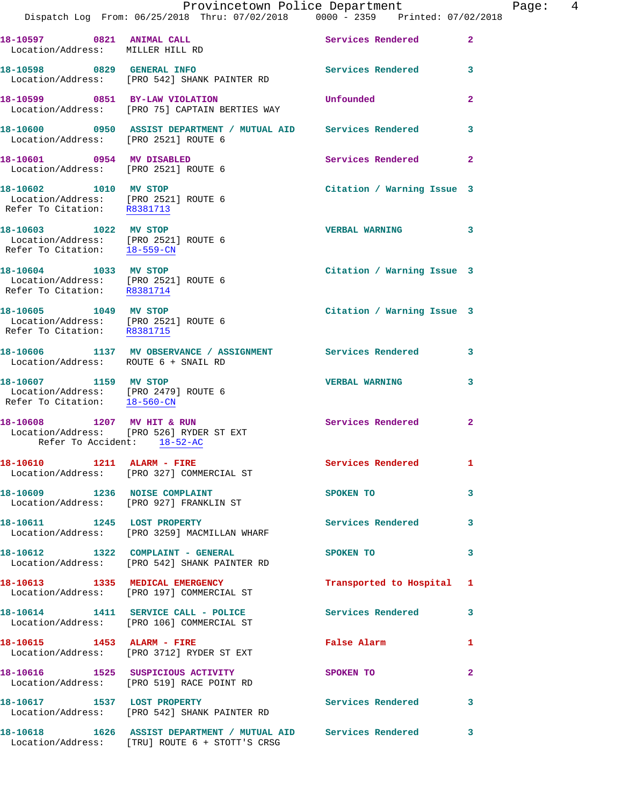|                                                                                               |                                                                                                                    | Provincetown Police Department          | Page: 4        |
|-----------------------------------------------------------------------------------------------|--------------------------------------------------------------------------------------------------------------------|-----------------------------------------|----------------|
|                                                                                               | Dispatch Log From: 06/25/2018 Thru: 07/02/2018 0000 - 2359 Printed: 07/02/2018                                     |                                         |                |
| 18-10597 0821 ANIMAL CALL<br>Location/Address: MILLER HILL RD                                 |                                                                                                                    | Services Rendered                       | $\overline{2}$ |
|                                                                                               | 18-10598 0829 GENERAL INFO<br>Location/Address: [PRO 542] SHANK PAINTER RD                                         | Services Rendered 3                     |                |
|                                                                                               | 18-10599 0851 BY-LAW VIOLATION<br>Location/Address: [PRO 75] CAPTAIN BERTIES WAY                                   | Unfounded                               | $\mathbf{2}$   |
| Location/Address: [PRO 2521] ROUTE 6                                                          | 18-10600 0950 ASSIST DEPARTMENT / MUTUAL AID Services Rendered                                                     |                                         | 3              |
| 18-10601 0954 MV DISABLED<br>Location/Address: [PRO 2521] ROUTE 6                             |                                                                                                                    | Services Rendered                       | $\mathbf{2}$   |
| 18-10602 1010 MV STOP<br>Location/Address: [PRO 2521] ROUTE 6<br>Refer To Citation: R8381713  |                                                                                                                    | Citation / Warning Issue 3              |                |
| 18-10603 1022 MV STOP<br>Location/Address: [PRO 2521] ROUTE 6<br>Refer To Citation: 18-559-CN |                                                                                                                    | VERBAL WARNING 3                        |                |
| 18-10604 1033 MV STOP<br>Location/Address: [PRO 2521] ROUTE 6<br>Refer To Citation: R8381714  |                                                                                                                    | Citation / Warning Issue 3              |                |
| 18-10605 1049 MV STOP<br>Location/Address: [PRO 2521] ROUTE 6<br>Refer To Citation: R8381715  |                                                                                                                    | Citation / Warning Issue 3              |                |
| Location/Address: ROUTE 6 + SNAIL RD                                                          | 18-10606 1137 MV OBSERVANCE / ASSIGNMENT Services Rendered 3                                                       |                                         |                |
| 18-10607 1159 MV STOP<br>Location/Address: [PRO 2479] ROUTE 6<br>Refer To Citation: 18-560-CN |                                                                                                                    | <b>VERBAL WARNING</b>                   | 3              |
| Refer To Accident: 18-52-AC                                                                   | 18-10608 1207 MV HIT & RUN<br>Location/Address: [PRO 526] RYDER ST EXT                                             | <b>Services Rendered</b>                | $\mathbf{2}$   |
|                                                                                               | 18-10610 1211 ALARM - FIRE<br>Location/Address: [PRO 327] COMMERCIAL ST                                            | Services Rendered<br>$\blacksquare$     |                |
|                                                                                               | 18-10609 1236 NOISE COMPLAINT<br>Location/Address: [PRO 927] FRANKLIN ST                                           | $\overline{\phantom{a}}$ 3<br>SPOKEN TO |                |
|                                                                                               | 18-10611 1245 LOST PROPERTY<br>Location/Address: [PRO 3259] MACMILLAN WHARF                                        | Services Rendered 3                     |                |
|                                                                                               | 18-10612 1322 COMPLAINT - GENERAL<br>Location/Address: [PRO 542] SHANK PAINTER RD                                  | SPOKEN TO                               | 3              |
|                                                                                               | 18-10613 1335 MEDICAL EMERGENCY<br>Location/Address: [PRO 197] COMMERCIAL ST                                       | Transported to Hospital 1               |                |
|                                                                                               | 18-10614 1411 SERVICE CALL - POLICE 3 Services Rendered 3<br>Location/Address: [PRO 106] COMMERCIAL ST             |                                         |                |
|                                                                                               | 18-10615    1453    ALARM - FIRE<br>Location/Address: [PRO 3712] RYDER ST EXT                                      | False Alarm                             | 1              |
|                                                                                               | 18-10616 1525 SUSPICIOUS ACTIVITY<br>Location/Address: [PRO 519] RACE POINT RD                                     | SPOKEN TO                               | $\mathbf{2}$   |
|                                                                                               | 18-10617 1537 LOST PROPERTY<br>Location/Address: [PRO 542] SHANK PAINTER RD                                        | Services Rendered 3                     |                |
|                                                                                               | 18-10618 1626 ASSIST DEPARTMENT / MUTUAL AID Services Rendered 3<br>Location/Address: [TRU] ROUTE 6 + STOTT'S CRSG |                                         |                |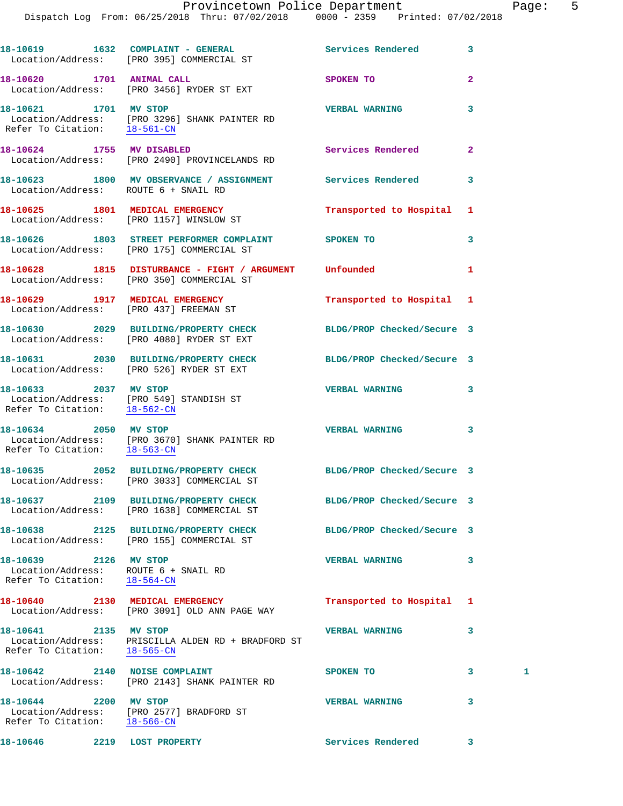18-10619 1632 COMPLAINT - GENERAL **Services Rendered** 3 Location/Address: [PRO 395] COMMERCIAL ST **18-10620 1701 ANIMAL CALL SPOKEN TO 2**  Location/Address: [PRO 3456] RYDER ST EXT **18-10621 1701 MV STOP VERBAL WARNING 3**  Location/Address: [PRO 3296] SHANK PAINTER RD<br>Refer To Citation: 18-561-CN Refer To Citation: **18-10624 1755 MV DISABLED Services Rendered 2**  Location/Address: [PRO 2490] PROVINCELANDS RD **18-10623 1800 MV OBSERVANCE / ASSIGNMENT Services Rendered 3**  Location/Address: ROUTE 6 + SNAIL RD **18-10625 1801 MEDICAL EMERGENCY Transported to Hospital 1**  Location/Address: [PRO 1157] WINSLOW ST **18-10626 1803 STREET PERFORMER COMPLAINT SPOKEN TO 3**  Location/Address: [PRO 175] COMMERCIAL ST **18-10628 1815 DISTURBANCE - FIGHT / ARGUMENT Unfounded 1**  Location/Address: [PRO 350] COMMERCIAL ST **18-10629 1917 MEDICAL EMERGENCY Transported to Hospital 1**  Location/Address: [PRO 437] FREEMAN ST **18-10630 2029 BUILDING/PROPERTY CHECK BLDG/PROP Checked/Secure 3**  Location/Address: [PRO 4080] RYDER ST EXT **18-10631 2030 BUILDING/PROPERTY CHECK BLDG/PROP Checked/Secure 3**  Location/Address: [PRO 526] RYDER ST EXT **18-10633 2037 MV STOP VERBAL WARNING 3**  Location/Address: [PRO 549] STANDISH ST Refer To Citation: 18-562-CN **18-10634 2050 MV STOP VERBAL WARNING 3**  Location/Address: [PRO 3670] SHANK PAINTER RD Refer To Citation: 18-563-CN **18-10635 2052 BUILDING/PROPERTY CHECK BLDG/PROP Checked/Secure 3**  Location/Address: [PRO 3033] COMMERCIAL ST **18-10637 2109 BUILDING/PROPERTY CHECK BLDG/PROP Checked/Secure 3**  Location/Address: [PRO 1638] COMMERCIAL ST **18-10638 2125 BUILDING/PROPERTY CHECK BLDG/PROP Checked/Secure 3**  Location/Address: [PRO 155] COMMERCIAL ST **18-10639 2126 MV STOP VERBAL WARNING 3**  Location/Address: ROUTE 6 + SNAIL RD Refer To Citation: 18-564-CN **18-10640 2130 MEDICAL EMERGENCY Transported to Hospital 1**  Location/Address: [PRO 3091] OLD ANN PAGE WAY **18-10641 2135 MV STOP VERBAL WARNING 3**  Location/Address: PRISCILLA ALDEN RD + BRADFORD ST Refer To Citation: 18-565-CN **18-10642** 2140 NOISE COMPLAINT SPOKEN TO 3 1 Location/Address: [PRO 2143] SHANK PAINTER RD **18-10644 2200 MV STOP VERBAL WARNING 3**  Location/Address: [PRO 2577] BRADFORD ST Refer To Citation: 18-566-CN

**18-10646 2219 LOST PROPERTY Services Rendered 3**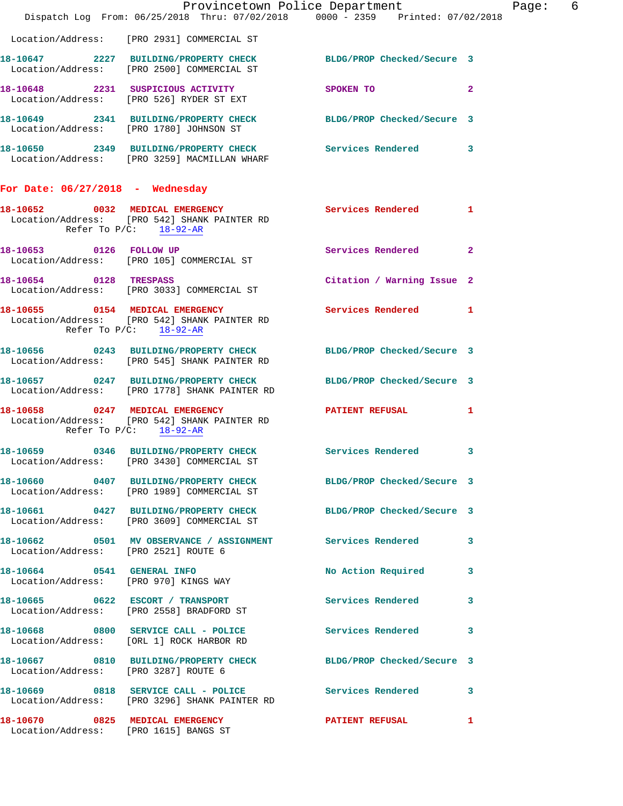|                                                                          | Dispatch Log From: 06/25/2018 Thru: 07/02/2018 0000 - 2359 Printed: 07/02/2018                                    | Provincetown Police Department | 6<br>Page:   |
|--------------------------------------------------------------------------|-------------------------------------------------------------------------------------------------------------------|--------------------------------|--------------|
|                                                                          | Location/Address: [PRO 2931] COMMERCIAL ST                                                                        |                                |              |
|                                                                          | 18-10647 2227 BUILDING/PROPERTY CHECK BLDG/PROP Checked/Secure 3<br>Location/Address: [PRO 2500] COMMERCIAL ST    |                                |              |
|                                                                          | 18-10648 2231 SUSPICIOUS ACTIVITY<br>Location/Address: [PRO 526] RYDER ST EXT                                     | SPOKEN TO                      | $\mathbf{2}$ |
|                                                                          | 18-10649 2341 BUILDING/PROPERTY CHECK BLDG/PROP Checked/Secure 3<br>Location/Address: [PRO 1780] JOHNSON ST       |                                |              |
|                                                                          | 18-10650 2349 BUILDING/PROPERTY CHECK Services Rendered 3<br>Location/Address: [PRO 3259] MACMILLAN WHARF         |                                |              |
| For Date: $06/27/2018$ - Wednesday                                       |                                                                                                                   |                                |              |
|                                                                          | 18-10652 0032 MEDICAL EMERGENCY<br>Location/Address: [PRO 542] SHANK PAINTER RD<br>Refer To $P/C$ : 18-92-AR      | <b>Services Rendered</b> 1     |              |
|                                                                          | 18-10653 0126 FOLLOW UP<br>Location/Address: [PRO 105] COMMERCIAL ST                                              | Services Rendered              | $\mathbf{2}$ |
| 18-10654 0128 TRESPASS                                                   | Location/Address: [PRO 3033] COMMERCIAL ST                                                                        | Citation / Warning Issue 2     |              |
|                                                                          | 18-10655 0154 MEDICAL EMERGENCY<br>Location/Address: [PRO 542] SHANK PAINTER RD<br>Refer To $P/C$ : 18-92-AR      | Services Rendered 1            |              |
|                                                                          | 18-10656 0243 BUILDING/PROPERTY CHECK BLDG/PROP Checked/Secure 3<br>Location/Address: [PRO 545] SHANK PAINTER RD  |                                |              |
|                                                                          | 18-10657 0247 BUILDING/PROPERTY CHECK BLDG/PROP Checked/Secure 3<br>Location/Address: [PRO 1778] SHANK PAINTER RD |                                |              |
|                                                                          | 18-10658 0247 MEDICAL EMERGENCY<br>Location/Address: [PRO 542] SHANK PAINTER RD<br>Refer To $P/C$ : 18-92-AR      | PATIENT REFUSAL                | $\mathbf{1}$ |
| Location/Address:                                                        | 18-10659 0346 BUILDING/PROPERTY CHECK Services Rendered 3<br>[PRO 3430] COMMERCIAL ST                             |                                |              |
|                                                                          | 18-10660 0407 BUILDING/PROPERTY CHECK BLDG/PROP Checked/Secure 3<br>Location/Address: [PRO 1989] COMMERCIAL ST    |                                |              |
|                                                                          | 18-10661 0427 BUILDING/PROPERTY CHECK<br>Location/Address: [PRO 3609] COMMERCIAL ST                               | BLDG/PROP Checked/Secure 3     |              |
| Location/Address: [PRO 2521] ROUTE 6                                     | 18-10662 0501 MV OBSERVANCE / ASSIGNMENT Services Rendered 3                                                      |                                |              |
| 18-10664 0541 GENERAL INFO<br>Location/Address: [PRO 970] KINGS WAY      |                                                                                                                   | No Action Required             | 3            |
|                                                                          | 18-10665 0622 ESCORT / TRANSPORT<br>Location/Address: [PRO 2558] BRADFORD ST                                      | Services Rendered              | 3            |
|                                                                          | 18-10668 0800 SERVICE CALL - POLICE<br>Location/Address: [ORL 1] ROCK HARBOR RD                                   | <b>Services Rendered</b>       | 3            |
| Location/Address: [PRO 3287] ROUTE 6                                     | 18-10667 0810 BUILDING/PROPERTY CHECK BLDG/PROP Checked/Secure 3                                                  |                                |              |
|                                                                          | 18-10669 0818 SERVICE CALL - POLICE<br>Location/Address: [PRO 3296] SHANK PAINTER RD                              | <b>Services Rendered</b>       | 3            |
| 18-10670 0825 MEDICAL EMERGENCY<br>Location/Address: [PRO 1615] BANGS ST |                                                                                                                   | <b>PATIENT REFUSAL</b>         | 1            |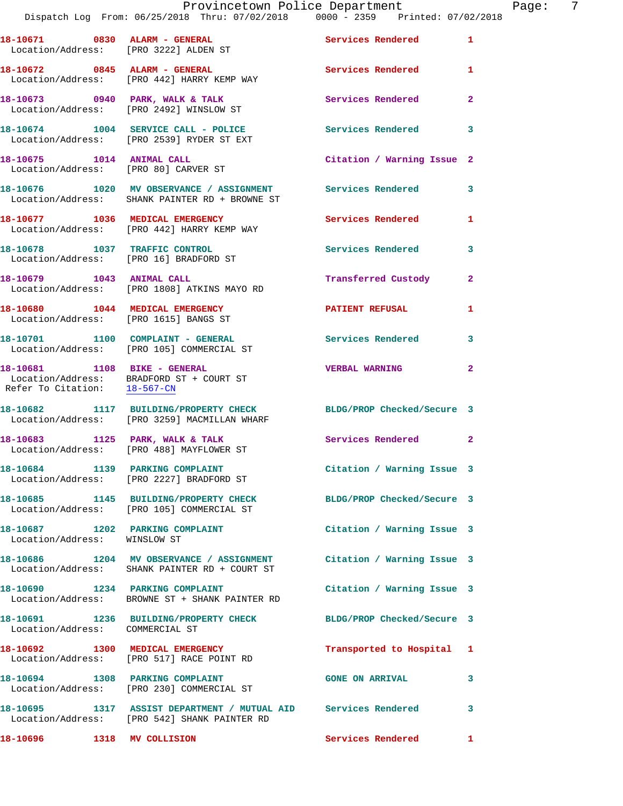|                                                                         | Dispatch Log From: 06/25/2018 Thru: 07/02/2018 0000 - 2359 Printed: 07/02/2018                                       |                            |                |
|-------------------------------------------------------------------------|----------------------------------------------------------------------------------------------------------------------|----------------------------|----------------|
| 18-10671 0830 ALARM - GENERAL                                           | Location/Address: [PRO 3222] ALDEN ST                                                                                | <b>Services Rendered</b>   | 1              |
|                                                                         | 18-10672 0845 ALARM - GENERAL<br>Location/Address: [PRO 442] HARRY KEMP WAY                                          | Services Rendered          | 1              |
|                                                                         | 18-10673 0940 PARK, WALK & TALK<br>Location/Address: [PRO 2492] WINSLOW ST                                           | Services Rendered          | $\overline{2}$ |
|                                                                         | 18-10674 1004 SERVICE CALL - POLICE<br>Location/Address: [PRO 2539] RYDER ST EXT                                     | <b>Services Rendered</b>   | 3              |
| 18-10675    1014    ANIMAL CALL<br>Location/Address: [PRO 80] CARVER ST |                                                                                                                      | Citation / Warning Issue 2 |                |
|                                                                         | 18-10676 1020 MV OBSERVANCE / ASSIGNMENT Services Rendered<br>Location/Address: SHANK PAINTER RD + BROWNE ST         |                            | 3              |
|                                                                         | 18-10677 1036 MEDICAL EMERGENCY<br>Location/Address: [PRO 442] HARRY KEMP WAY                                        | Services Rendered          | 1              |
| 18-10678 1037 TRAFFIC CONTROL                                           | Location/Address: [PRO 16] BRADFORD ST                                                                               | <b>Services Rendered</b>   | 3              |
| 18-10679 1043 ANIMAL CALL                                               | Location/Address: [PRO 1808] ATKINS MAYO RD                                                                          | Transferred Custody        | $\overline{2}$ |
| Location/Address: [PRO 1615] BANGS ST                                   | 18-10680 1044 MEDICAL EMERGENCY                                                                                      | <b>PATIENT REFUSAL</b>     | 1              |
|                                                                         | 18-10701 1100 COMPLAINT - GENERAL<br>Location/Address: [PRO 105] COMMERCIAL ST                                       | <b>Services Rendered</b>   | 3              |
|                                                                         | 18-10681 1108 BIKE - GENERAL<br>Location/Address: BRADFORD ST + COURT ST<br>Refer To Citation: 18-567-CN             | <b>VERBAL WARNING</b>      | $\mathbf{2}$   |
|                                                                         | 18-10682 1117 BUILDING/PROPERTY CHECK<br>Location/Address: [PRO 3259] MACMILLAN WHARF                                | BLDG/PROP Checked/Secure 3 |                |
|                                                                         | 18-10683 1125 PARK, WALK & TALK<br>Location/Address: [PRO 488] MAYFLOWER ST                                          | Services Rendered          | $\overline{2}$ |
|                                                                         | 18-10684 1139 PARKING COMPLAINT<br>Location/Address: [PRO 2227] BRADFORD ST                                          | Citation / Warning Issue 3 |                |
|                                                                         | 18-10685 1145 BUILDING/PROPERTY CHECK BLDG/PROP Checked/Secure 3<br>Location/Address: [PRO 105] COMMERCIAL ST        |                            |                |
| Location/Address: WINSLOW ST                                            | 18-10687 1202 PARKING COMPLAINT                                                                                      | Citation / Warning Issue 3 |                |
|                                                                         | 18-10686 1204 MV OBSERVANCE / ASSIGNMENT Citation / Warning Issue 3<br>Location/Address: SHANK PAINTER RD + COURT ST |                            |                |
| 18-10690 1234 PARKING COMPLAINT                                         | Location/Address: BROWNE ST + SHANK PAINTER RD                                                                       | Citation / Warning Issue 3 |                |
| Location/Address: COMMERCIAL ST                                         | 18-10691 1236 BUILDING/PROPERTY CHECK                                                                                | BLDG/PROP Checked/Secure 3 |                |
|                                                                         | 18-10692 1300 MEDICAL EMERGENCY<br>Location/Address: [PRO 517] RACE POINT RD                                         | Transported to Hospital    | ı              |
|                                                                         | 18-10694 1308 PARKING COMPLAINT<br>Location/Address: [PRO 230] COMMERCIAL ST                                         | <b>GONE ON ARRIVAL</b>     | 3              |
|                                                                         | 18-10695 1317 ASSIST DEPARTMENT / MUTUAL AID Services Rendered<br>Location/Address: [PRO 542] SHANK PAINTER RD       |                            | 3              |
| 18-10696 1318 MV COLLISION                                              |                                                                                                                      | <b>Services Rendered</b>   | 1              |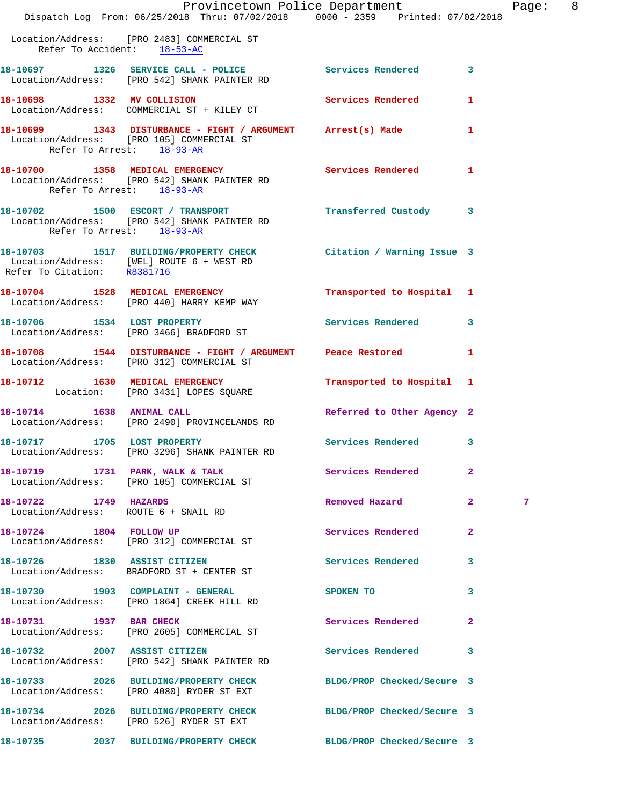|                             | Provincetown Police Department The Page: 8<br>Dispatch Log From: 06/25/2018 Thru: 07/02/2018 0000 - 2359 Printed: 07/02/2018                 |                            |                |   |  |
|-----------------------------|----------------------------------------------------------------------------------------------------------------------------------------------|----------------------------|----------------|---|--|
| Refer To Accident: 18-53-AC | Location/Address: [PRO 2483] COMMERCIAL ST                                                                                                   |                            |                |   |  |
|                             | 18-10697 1326 SERVICE CALL - POLICE Services Rendered 3<br>Location/Address: [PRO 542] SHANK PAINTER RD                                      |                            |                |   |  |
|                             | 18-10698 1332 MV COLLISION<br>Location/Address: COMMERCIAL ST + KILEY CT                                                                     | Services Rendered 1        |                |   |  |
| Refer To Arrest: 18-93-AR   | 18-10699 1343 DISTURBANCE - FIGHT / ARGUMENT Arrest(s) Made 1<br>Location/Address: [PRO 105] COMMERCIAL ST                                   |                            |                |   |  |
| Refer To Arrest: 18-93-AR   | 18-10700 1358 MEDICAL EMERGENCY Services Rendered 1<br>Location/Address: [PRO 542] SHANK PAINTER RD                                          |                            |                |   |  |
| Refer To Arrest: 18-93-AR   | 18-10702 1500 ESCORT / TRANSPORT<br>Location/Address: [PRO 542] SHANK PAINTER RD                                                             | Transferred Custody 3      |                |   |  |
|                             | 18-10703 1517 BUILDING/PROPERTY CHECK Citation / Warning Issue 3<br>Location/Address: [WEL] ROUTE 6 + WEST RD<br>Refer To Citation: R8381716 |                            |                |   |  |
|                             | 18-10704 1528 MEDICAL EMERGENCY<br>Location/Address: [PRO 440] HARRY KEMP WAY                                                                | Transported to Hospital 1  |                |   |  |
|                             | 18-10706 1534 LOST PROPERTY<br>Location/Address: [PRO 3466] BRADFORD ST                                                                      | Services Rendered 3        |                |   |  |
|                             | 18-10708 1544 DISTURBANCE - FIGHT / ARGUMENT Peace Restored 1<br>Location/Address: [PRO 312] COMMERCIAL ST                                   |                            |                |   |  |
|                             | 18-10712 1630 MEDICAL EMERGENCY<br>Location: [PRO 3431] LOPES SQUARE                                                                         | Transported to Hospital 1  |                |   |  |
|                             | 18-10714 1638 ANIMAL CALL<br>Location/Address: [PRO 2490] PROVINCELANDS RD                                                                   | Referred to Other Agency 2 |                |   |  |
|                             | 18-10717 1705 LOST PROPERTY<br>Location/Address: [PRO 3296] SHANK PAINTER RD                                                                 | Services Rendered 3        |                |   |  |
|                             | 18-10719 1731 PARK, WALK & TALK<br>Location/Address: [PRO 105] COMMERCIAL ST                                                                 | Services Rendered          | $\mathbf{2}$   |   |  |
| 18-10722 1749 HAZARDS       | Location/Address: ROUTE 6 + SNAIL RD                                                                                                         | Removed Hazard 2           |                | 7 |  |
|                             | 18-10724 1804 FOLLOW UP<br>Location/Address: [PRO 312] COMMERCIAL ST                                                                         | Services Rendered          | $\overline{2}$ |   |  |
|                             | 18-10726 1830 ASSIST CITIZEN<br>Location/Address: BRADFORD ST + CENTER ST                                                                    | Services Rendered 3        |                |   |  |
|                             | 18-10730 1903 COMPLAINT - GENERAL<br>Location/Address: [PRO 1864] CREEK HILL RD                                                              | SPOKEN TO                  | 3              |   |  |
| 18-10731 1937 BAR CHECK     | Location/Address: [PRO 2605] COMMERCIAL ST                                                                                                   | Services Rendered 2        |                |   |  |
|                             | 18-10732 2007 ASSIST CITIZEN<br>Location/Address: [PRO 542] SHANK PAINTER RD                                                                 | Services Rendered 3        |                |   |  |
|                             | 18-10733 2026 BUILDING/PROPERTY CHECK BLDG/PROP Checked/Secure 3<br>Location/Address: [PRO 4080] RYDER ST EXT                                |                            |                |   |  |
|                             | 18-10734 2026 BUILDING/PROPERTY CHECK<br>Location/Address: [PRO 526] RYDER ST EXT                                                            | BLDG/PROP Checked/Secure 3 |                |   |  |
|                             | 18-10735 2037 BUILDING/PROPERTY CHECK BLDG/PROP Checked/Secure 3                                                                             |                            |                |   |  |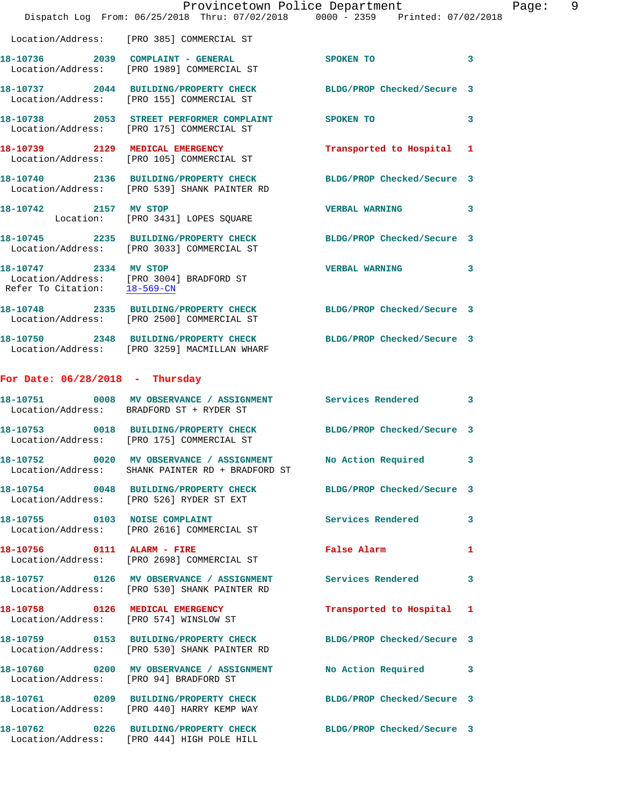|                                        | Provincetown Police Department<br>Dispatch Log From: 06/25/2018 Thru: 07/02/2018 0000 - 2359 Printed: 07/02/2018    |                                                                                                                | Page: 9      |
|----------------------------------------|---------------------------------------------------------------------------------------------------------------------|----------------------------------------------------------------------------------------------------------------|--------------|
|                                        | Location/Address: [PRO 385] COMMERCIAL ST                                                                           |                                                                                                                |              |
|                                        | 18-10736 2039 COMPLAINT - GENERAL<br>Location/Address: [PRO 1989] COMMERCIAL ST                                     | SPOKEN TO                                                                                                      | $\mathbf{3}$ |
|                                        | 18-10737 2044 BUILDING/PROPERTY CHECK BLDG/PROP Checked/Secure 3<br>Location/Address: [PRO 155] COMMERCIAL ST       |                                                                                                                |              |
|                                        | 18-10738 2053 STREET PERFORMER COMPLAINT<br>Location/Address: [PRO 175] COMMERCIAL ST                               | SPOKEN TO                                                                                                      | 3            |
|                                        | 18-10739 2129 MEDICAL EMERGENCY<br>Location/Address: [PRO 105] COMMERCIAL ST                                        | Transported to Hospital 1                                                                                      |              |
|                                        | 18-10740 2136 BUILDING/PROPERTY CHECK BLDG/PROP Checked/Secure 3<br>Location/Address: [PRO 539] SHANK PAINTER RD    |                                                                                                                |              |
| 18-10742 2157 MV STOP                  | Location: [PRO 3431] LOPES SQUARE                                                                                   | VERBAL WARNING 3                                                                                               |              |
|                                        | 18-10745 2235 BUILDING/PROPERTY CHECK BLDG/PROP Checked/Secure 3<br>Location/Address: [PRO 3033] COMMERCIAL ST      |                                                                                                                |              |
|                                        | 18-10747 2334 MV STOP<br>Location/Address: [PRO 3004] BRADFORD ST<br>Refer To Citation: $\frac{18-569-\text{CN}}{}$ | VERBAL WARNING 3                                                                                               |              |
|                                        | 18-10748 2335 BUILDING/PROPERTY CHECK BLDG/PROP Checked/Secure 3<br>Location/Address: [PRO 2500] COMMERCIAL ST      |                                                                                                                |              |
|                                        | 18-10750 2348 BUILDING/PROPERTY CHECK BLDG/PROP Checked/Secure 3<br>Location/Address: [PRO 3259] MACMILLAN WHARF    |                                                                                                                |              |
| For Date: $06/28/2018$ - Thursday      |                                                                                                                     |                                                                                                                |              |
|                                        | 18-10751 0008 MV OBSERVANCE / ASSIGNMENT Services Rendered 3<br>Location/Address: BRADFORD ST + RYDER ST            |                                                                                                                |              |
|                                        | 18-10753 0018 BUILDING/PROPERTY CHECK BLDG/PROP Checked/Secure 3<br>Location/Address: [PRO 175] COMMERCIAL ST       |                                                                                                                |              |
|                                        | 18-10752 0020 MV OBSERVANCE / ASSIGNMENT<br>Location/Address: SHANK PAINTER RD + BRADFORD ST                        | No Action Required 3                                                                                           |              |
|                                        | 18-10754 0048 BUILDING/PROPERTY CHECK BLDG/PROP Checked/Secure 3<br>Location/Address: [PRO 526] RYDER ST EXT        |                                                                                                                |              |
|                                        | 18-10755 0103 NOISE COMPLAINT<br>Location/Address: [PRO 2616] COMMERCIAL ST                                         | <b>Services Rendered</b>                                                                                       | 3            |
| 18-10756 0111 ALARM - FIRE             | Location/Address: [PRO 2698] COMMERCIAL ST                                                                          | False Alarm and the state of the state of the state of the state of the state of the state of the state of the | 1            |
|                                        | 18-10757 0126 MV OBSERVANCE / ASSIGNMENT Services Rendered<br>Location/Address: [PRO 530] SHANK PAINTER RD          |                                                                                                                | 3            |
|                                        | 18-10758 0126 MEDICAL EMERGENCY<br>Location/Address: [PRO 574] WINSLOW ST                                           | Transported to Hospital 1                                                                                      |              |
|                                        | 18-10759 0153 BUILDING/PROPERTY CHECK BLDG/PROP Checked/Secure 3<br>Location/Address: [PRO 530] SHANK PAINTER RD    |                                                                                                                |              |
| Location/Address: [PRO 94] BRADFORD ST | 18-10760 0200 MV OBSERVANCE / ASSIGNMENT No Action Required 3                                                       |                                                                                                                |              |
|                                        | 18-10761 0209 BUILDING/PROPERTY CHECK BLDG/PROP Checked/Secure 3<br>Location/Address: [PRO 440] HARRY KEMP WAY      |                                                                                                                |              |
|                                        | 18-10762 0226 BUILDING/PROPERTY CHECK<br>Location/Address: [PRO 444] HIGH POLE HILL                                 | BLDG/PROP Checked/Secure 3                                                                                     |              |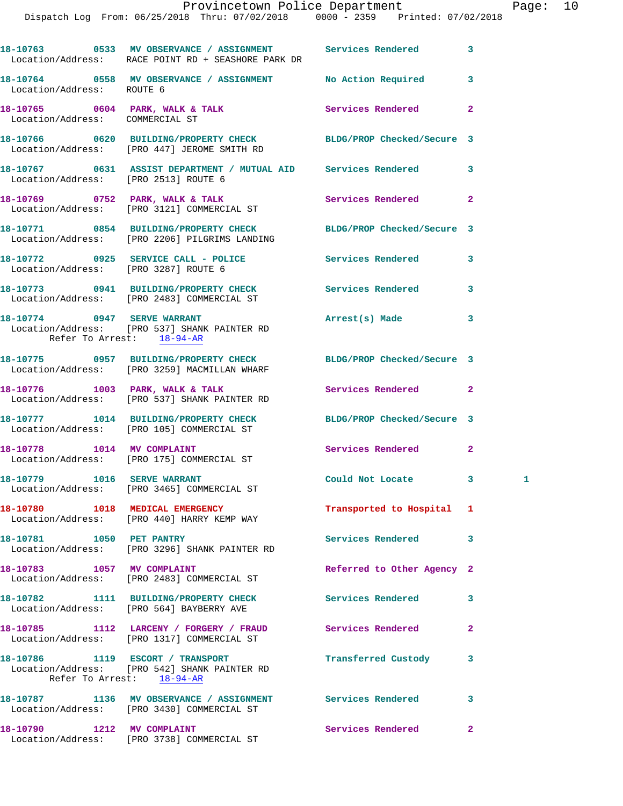|                                                          | 18-10763    0533 MV OBSERVANCE / ASSIGNMENT    Services Rendered<br>Location/Address: RACE POINT RD + SEASHORE PARK DR |                            | 3              |   |
|----------------------------------------------------------|------------------------------------------------------------------------------------------------------------------------|----------------------------|----------------|---|
| Location/Address: ROUTE 6                                | 18-10764 0558 MV OBSERVANCE / ASSIGNMENT No Action Required                                                            |                            | 3              |   |
| Location/Address: COMMERCIAL ST                          | 18-10765 0604 PARK, WALK & TALK                                                                                        | Services Rendered          | $\mathbf{2}$   |   |
|                                                          | 18-10766 0620 BUILDING/PROPERTY CHECK BLDG/PROP Checked/Secure 3<br>Location/Address: [PRO 447] JEROME SMITH RD        |                            |                |   |
| Location/Address: [PRO 2513] ROUTE 6                     | 18-10767 0631 ASSIST DEPARTMENT / MUTUAL AID Services Rendered                                                         |                            | 3              |   |
|                                                          | 18-10769 0752 PARK, WALK & TALK<br>Location/Address: [PRO 3121] COMMERCIAL ST                                          | Services Rendered          | $\overline{a}$ |   |
|                                                          | 18-10771 0854 BUILDING/PROPERTY CHECK<br>Location/Address: [PRO 2206] PILGRIMS LANDING                                 | BLDG/PROP Checked/Secure 3 |                |   |
| Location/Address: [PRO 3287] ROUTE 6                     | 18-10772 0925 SERVICE CALL - POLICE                                                                                    | <b>Services Rendered</b>   | 3              |   |
|                                                          | 18-10773 0941 BUILDING/PROPERTY CHECK Services Rendered<br>Location/Address: [PRO 2483] COMMERCIAL ST                  |                            | 3              |   |
| 18-10774 0947 SERVE WARRANT<br>Refer To Arrest: 18-94-AR | Location/Address: [PRO 537] SHANK PAINTER RD                                                                           | Arrest(s) Made             | 3              |   |
|                                                          | 18-10775 0957 BUILDING/PROPERTY CHECK BLDG/PROP Checked/Secure 3<br>Location/Address: [PRO 3259] MACMILLAN WHARF       |                            |                |   |
|                                                          | 18-10776 1003 PARK, WALK & TALK<br>Location/Address: [PRO 537] SHANK PAINTER RD                                        | Services Rendered          | $\mathbf{2}$   |   |
|                                                          | 18-10777 1014 BUILDING/PROPERTY CHECK<br>Location/Address: [PRO 105] COMMERCIAL ST                                     | BLDG/PROP Checked/Secure 3 |                |   |
| 18-10778 1014 MV COMPLAINT                               | Location/Address: [PRO 175] COMMERCIAL ST                                                                              | Services Rendered          | $\mathbf{2}$   |   |
| 18-10779 1016 SERVE WARRANT                              | Location/Address: [PRO 3465] COMMERCIAL ST                                                                             | Could Not Locate 3         |                | 1 |
|                                                          | 18-10780 1018 MEDICAL EMERGENCY<br>Location/Address: [PRO 440] HARRY KEMP WAY                                          | Transported to Hospital 1  |                |   |
| 18-10781 1050 PET PANTRY                                 | Location/Address: [PRO 3296] SHANK PAINTER RD                                                                          | Services Rendered          | 3              |   |
| 18-10783 1057 MV COMPLAINT                               | Location/Address: [PRO 2483] COMMERCIAL ST                                                                             | Referred to Other Agency 2 |                |   |
|                                                          | 18-10782 1111 BUILDING/PROPERTY CHECK<br>Location/Address: [PRO 564] BAYBERRY AVE                                      | <b>Services Rendered</b>   | 3              |   |
|                                                          | 18-10785 1112 LARCENY / FORGERY / FRAUD<br>Location/Address: [PRO 1317] COMMERCIAL ST                                  | Services Rendered          | 2              |   |
|                                                          | 18-10786 1119 ESCORT / TRANSPORT<br>Location/Address: [PRO 542] SHANK PAINTER RD<br>Refer To Arrest: $18-94-AR$        | Transferred Custody        | 3              |   |
|                                                          | 18-10787 1136 MV OBSERVANCE / ASSIGNMENT Services Rendered<br>Location/Address: [PRO 3430] COMMERCIAL ST               |                            | 3              |   |
| 18-10790 1212 MV COMPLAINT                               | Location/Address: [PRO 3738] COMMERCIAL ST                                                                             | Services Rendered          | $\mathbf{2}$   |   |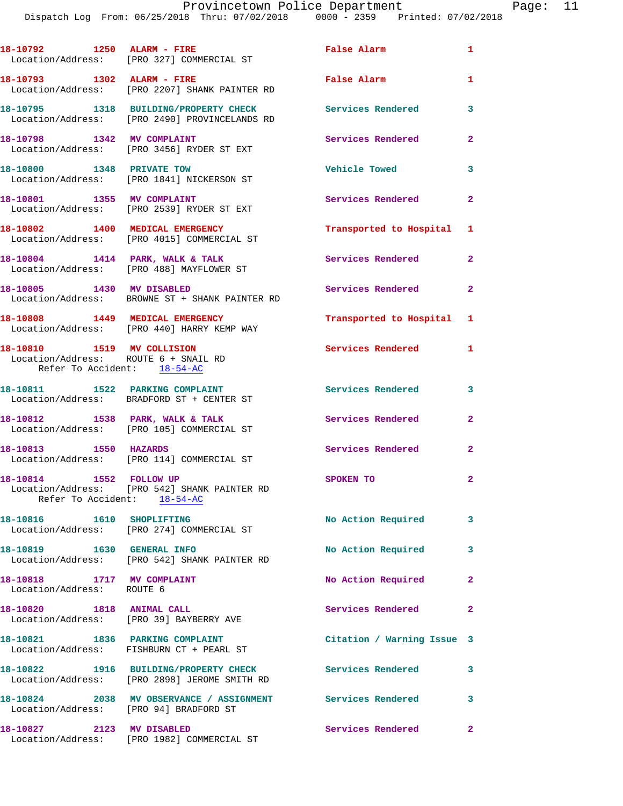|                                                                    | 18-10792 1250 ALARM - FIRE<br>Location/Address: [PRO 327] COMMERCIAL ST                                 | False Alarm                | $\mathbf{1}$            |
|--------------------------------------------------------------------|---------------------------------------------------------------------------------------------------------|----------------------------|-------------------------|
| 18-10793 1302 ALARM - FIRE                                         | Location/Address: [PRO 2207] SHANK PAINTER RD                                                           | False Alarm                | $\mathbf{1}$            |
|                                                                    | 18-10795 1318 BUILDING/PROPERTY CHECK<br>Location/Address: [PRO 2490] PROVINCELANDS RD                  | <b>Services Rendered</b>   | 3                       |
| 18-10798 1342 MV COMPLAINT                                         | Location/Address: [PRO 3456] RYDER ST EXT                                                               | Services Rendered          | $\mathbf{2}$            |
| 18-10800 1348 PRIVATE TOW                                          | Location/Address: [PRO 1841] NICKERSON ST                                                               | <b>Vehicle Towed</b>       | 3                       |
| 18-10801 1355 MV COMPLAINT                                         | Location/Address: [PRO 2539] RYDER ST EXT                                                               | Services Rendered          | $\mathbf{2}$            |
|                                                                    | 18-10802 1400 MEDICAL EMERGENCY<br>Location/Address: [PRO 4015] COMMERCIAL ST                           | Transported to Hospital 1  |                         |
| 18-10804 1414 PARK, WALK & TALK                                    | Location/Address: [PRO 488] MAYFLOWER ST                                                                | Services Rendered          | $\mathbf{2}$            |
| 18-10805 1430 MV DISABLED                                          | Location/Address: BROWNE ST + SHANK PAINTER RD                                                          | Services Rendered          | $\mathbf{2}$            |
| 18-10808 1449 MEDICAL EMERGENCY                                    | Location/Address: [PRO 440] HARRY KEMP WAY                                                              | Transported to Hospital 1  |                         |
| 18-10810 1519 MV COLLISION<br>Location/Address: ROUTE 6 + SNAIL RD |                                                                                                         | Services Rendered 1        |                         |
| Refer To Accident: 18-54-AC                                        |                                                                                                         |                            |                         |
|                                                                    | 18-10811 1522 PARKING COMPLAINT<br>Location/Address: BRADFORD ST + CENTER ST                            | <b>Services Rendered</b>   | 3                       |
|                                                                    | 18-10812 1538 PARK, WALK & TALK<br>Location/Address: [PRO 105] COMMERCIAL ST                            | Services Rendered          | $\mathbf{2}$            |
| 18-10813 1550 HAZARDS                                              | Location/Address: [PRO 114] COMMERCIAL ST                                                               | Services Rendered          | 2                       |
| 18-10814 1552 FOLLOW UP<br>Refer To Accident: 18-54-AC             | Location/Address: [PRO 542] SHANK PAINTER RD                                                            | SPOKEN TO                  | $\overline{2}$          |
| 18-10816 1610 SHOPLIFTING                                          | Location/Address: [PRO 274] COMMERCIAL ST                                                               | No Action Required         | $\overline{\mathbf{3}}$ |
| 18-10819   1630   GENERAL INFO                                     | Location/Address: [PRO 542] SHANK PAINTER RD                                                            | No Action Required         | 3                       |
| 18-10818 1717 MV COMPLAINT<br>Location/Address: ROUTE 6            |                                                                                                         | No Action Required         | $\mathbf{2}$            |
| 18-10820 1818 ANIMAL CALL                                          | Location/Address: [PRO 39] BAYBERRY AVE                                                                 | Services Rendered          | $\mathbf{2}$            |
|                                                                    | 18-10821 1836 PARKING COMPLAINT<br>Location/Address: FISHBURN CT + PEARL ST                             | Citation / Warning Issue 3 |                         |
|                                                                    | 18-10822 1916 BUILDING/PROPERTY CHECK Services Rendered<br>Location/Address: [PRO 2898] JEROME SMITH RD |                            | 3                       |
| Location/Address: [PRO 94] BRADFORD ST                             | 18-10824 2038 MV OBSERVANCE / ASSIGNMENT Services Rendered                                              |                            | 3                       |
| 18-10827 2123 MV DISABLED                                          | Location/Address: [PRO 1982] COMMERCIAL ST                                                              | Services Rendered          | $\mathbf{2}$            |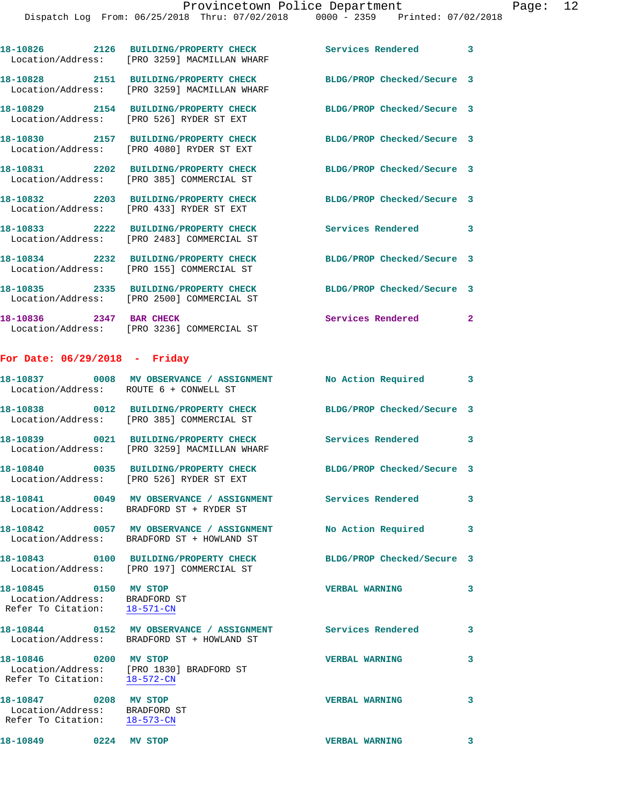|                                        | 18-10826 2126 BUILDING/PROPERTY CHECK<br>Location/Address: [PRO 3259] MACMILLAN WHARF | Services Rendered 3        |                |
|----------------------------------------|---------------------------------------------------------------------------------------|----------------------------|----------------|
|                                        | 18-10828 2151 BUILDING/PROPERTY CHECK<br>Location/Address: [PRO 3259] MACMILLAN WHARF | BLDG/PROP Checked/Secure 3 |                |
|                                        | 18-10829 2154 BUILDING/PROPERTY CHECK<br>Location/Address: [PRO 526] RYDER ST EXT     | BLDG/PROP Checked/Secure 3 |                |
|                                        | 18-10830 2157 BUILDING/PROPERTY CHECK<br>Location/Address: [PRO 4080] RYDER ST EXT    | BLDG/PROP Checked/Secure 3 |                |
|                                        | 18-10831 2202 BUILDING/PROPERTY CHECK<br>Location/Address: [PRO 385] COMMERCIAL ST    | BLDG/PROP Checked/Secure 3 |                |
|                                        | 18-10832 2203 BUILDING/PROPERTY CHECK<br>Location/Address: [PRO 433] RYDER ST EXT     | BLDG/PROP Checked/Secure 3 |                |
|                                        | 18-10833 2222 BUILDING/PROPERTY CHECK<br>Location/Address: [PRO 2483] COMMERCIAL ST   | Services Rendered 3        |                |
|                                        | 18-10834 2232 BUILDING/PROPERTY CHECK<br>Location/Address: [PRO 155] COMMERCIAL ST    | BLDG/PROP Checked/Secure 3 |                |
|                                        | 18-10835 2335 BUILDING/PROPERTY CHECK<br>Location/Address: [PRO 2500] COMMERCIAL ST   | BLDG/PROP Checked/Secure 3 |                |
| 18-10836 2347 BAR CHECK                | Location/Address: [PRO 3236] COMMERCIAL ST                                            | Services Rendered          | $\overline{2}$ |
| For Date: 06/29/2018 - Friday          |                                                                                       |                            |                |
| Location/Address: ROUTE 6 + CONWELL ST | 18-10837 0008 MV OBSERVANCE / ASSIGNMENT                                              | No Action Required 3       |                |
|                                        | 18-10838 0012 BUILDING/PROPERTY CHECK<br>Location/Address: [PRO 385] COMMERCIAL ST    | BLDG/PROP Checked/Secure 3 |                |
|                                        | 18-10839 0021 BUILDING/PROPERTY CHECK<br>Location/Address: [PRO 3259] MACMILLAN WHARF | Services Rendered 3        |                |
|                                        | 18-10840 0035 BUILDING/PROPERTY CHECK<br>Location/Address: [PRO 526] RYDER ST EXT     | BLDG/PROP Checked/Secure 3 |                |

**18-10841 0049 MV OBSERVANCE / ASSIGNMENT Services Rendered 3**  Location/Address: BRADFORD ST + RYDER ST

**18-10842 0057 MV OBSERVANCE / ASSIGNMENT No Action Required 3**  Location/Address: BRADFORD ST + HOWLAND ST

Location/Address: [PRO 197] COMMERCIAL ST

 Location/Address: BRADFORD ST Refer To Citation: 18-571-CN

**18-10844 0152 MV OBSERVANCE / ASSIGNMENT Services Rendered 3**  Location/Address: BRADFORD ST + HOWLAND ST

**18-10846 0200 MV STOP VERBAL WARNING 3**  Location/Address: [PRO 1830] BRADFORD ST Refer To Citation: 18-572-CN

 Location/Address: BRADFORD ST Refer To Citation: 18-573-CN

**18-10843 0100 BUILDING/PROPERTY CHECK BLDG/PROP Checked/Secure 3 18-10845 0150 MV STOP VERBAL WARNING 3** 

**18-10847 0208 MV STOP VERBAL WARNING 3** 

**18-10849 0224 MV STOP VERBAL WARNING 3**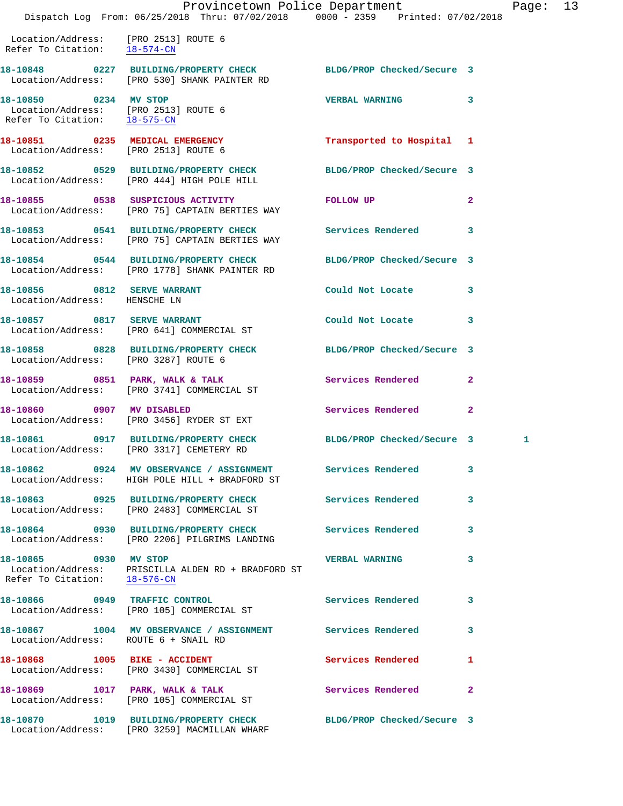Location/Address: [PRO 2513] ROUTE 6 Refer To Citation: 18-574-CN

**18-10848 0227 BUILDING/PROPERTY CHECK BLDG/PROP Checked/Secure 3**  Location/Address: [PRO 530] SHANK PAINTER RD **18-10850 0234 MV STOP VERBAL WARNING 3** 

 Refer To Citation: 18-575-CN **18-10851 0235 MEDICAL EMERGENCY Transported to Hospital 1**  Location/Address: [PRO 2513] ROUTE 6

**18-10852 0529 BUILDING/PROPERTY CHECK BLDG/PROP Checked/Secure 3**  Location/Address: [PRO 444] HIGH POLE HILL

**18-10855 0538 SUSPICIOUS ACTIVITY FOLLOW UP 2**  Location/Address: [PRO 75] CAPTAIN BERTIES WAY

**18-10853 0541 BUILDING/PROPERTY CHECK Services Rendered 3**  Location/Address: [PRO 75] CAPTAIN BERTIES WAY

Location/Address: [PRO 2513] ROUTE 6

**18-10856 0812 SERVE WARRANT Could Not Locate 3**  Location/Address: HENSCHE LN

Location/Address: [PRO 3287] ROUTE 6

Refer To Citation: 18-576-CN

Location/Address: ROUTE 6 + SNAIL RD

Location/Address: [PRO 3430] COMMERCIAL ST

Location/Address: [PRO 105] COMMERCIAL ST

**18-10854 0544 BUILDING/PROPERTY CHECK BLDG/PROP Checked/Secure 3**  Location/Address: [PRO 1778] SHANK PAINTER RD

**18-10857 0817 SERVE WARRANT Could Not Locate 3**  Location/Address: [PRO 641] COMMERCIAL ST

**18-10858 0828 BUILDING/PROPERTY CHECK BLDG/PROP Checked/Secure 3** 

**18-10859 0851 PARK, WALK & TALK Services Rendered 2**  Location/Address: [PRO 3741] COMMERCIAL ST

**18-10860 0907 MV DISABLED Services Rendered 2**  Location/Address: [PRO 3456] RYDER ST EXT

**18-10861 0917 BUILDING/PROPERTY CHECK BLDG/PROP Checked/Secure 3 1**  Location/Address: [PRO 3317] CEMETERY RD

**18-10862 0924 MV OBSERVANCE / ASSIGNMENT Services Rendered 3**  Location/Address: HIGH POLE HILL + BRADFORD ST

**18-10863 0925 BUILDING/PROPERTY CHECK Services Rendered 3**  Location/Address: [PRO 2483] COMMERCIAL ST

**18-10864 0930 BUILDING/PROPERTY CHECK Services Rendered 3**  Location/Address: [PRO 2206] PILGRIMS LANDING

**18-10865 0930 MV STOP VERBAL WARNING 3**  Location/Address: PRISCILLA ALDEN RD + BRADFORD ST

Location/Address: [PRO 105] COMMERCIAL ST

Location/Address: [PRO 3259] MACMILLAN WHARF

**18-10866 0949 TRAFFIC CONTROL Services Rendered 3** 

**18-10867 1004 MV OBSERVANCE / ASSIGNMENT Services Rendered 3** 

18-10868 1005 BIKE - ACCIDENT Services Rendered 1

18-10869 1017 PARK, WALK & TALK 3 Services Rendered 2

**18-10870 1019 BUILDING/PROPERTY CHECK BLDG/PROP Checked/Secure 3**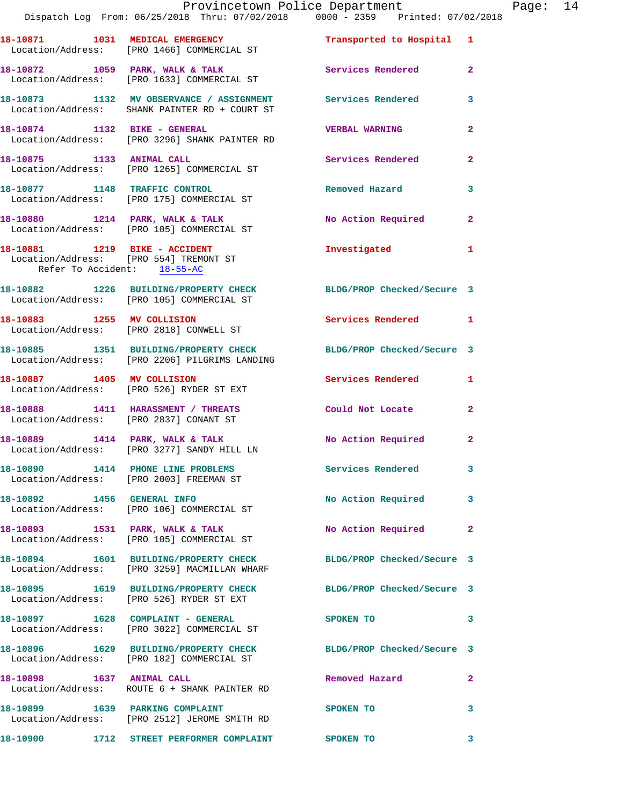|                                        | Provincetown Police Department<br>Dispatch Log From: 06/25/2018 Thru: 07/02/2018 0000 - 2359 Printed: 07/02/2018  |                           |                |
|----------------------------------------|-------------------------------------------------------------------------------------------------------------------|---------------------------|----------------|
|                                        |                                                                                                                   |                           |                |
|                                        | 18-10871 1031 MEDICAL EMERGENCY<br>Location/Address: [PRO 1466] COMMERCIAL ST                                     | Transported to Hospital 1 |                |
|                                        | 18-10872 1059 PARK, WALK & TALK 1999 2012 Services Rendered<br>Location/Address: [PRO 1633] COMMERCIAL ST         |                           | $\mathbf{2}$   |
|                                        | 18-10873 1132 MV OBSERVANCE / ASSIGNMENT Services Rendered<br>Location/Address: SHANK PAINTER RD + COURT ST       |                           | 3              |
| 18-10874 1132 BIKE - GENERAL           | Location/Address: [PRO 3296] SHANK PAINTER RD                                                                     | <b>VERBAL WARNING</b>     | $\mathbf{2}$   |
| 18-10875 1133 ANIMAL CALL              | Location/Address: [PRO 1265] COMMERCIAL ST                                                                        | <b>Services Rendered</b>  | $\overline{2}$ |
|                                        | 18-10877 1148 TRAFFIC CONTROL<br>Location/Address: [PRO 175] COMMERCIAL ST                                        | Removed Hazard            | 3              |
|                                        | 18-10880 1214 PARK, WALK & TALK<br>Location/Address: [PRO 105] COMMERCIAL ST                                      | No Action Required        | $\mathbf{2}$   |
| Refer To Accident: 18-55-AC            | 18-10881 1219 BIKE - ACCIDENT<br>Location/Address: [PRO 554] TREMONT ST                                           | Investigated              | 1              |
|                                        | 18-10882 1226 BUILDING/PROPERTY CHECK BLDG/PROP Checked/Secure 3<br>Location/Address: [PRO 105] COMMERCIAL ST     |                           |                |
|                                        | 18-10883 1255 MV COLLISION<br>Location/Address: [PRO 2818] CONWELL ST                                             | <b>Services Rendered</b>  | 1              |
|                                        | 18-10885 1351 BUILDING/PROPERTY CHECK BLDG/PROP Checked/Secure 3<br>Location/Address: [PRO 2206] PILGRIMS LANDING |                           |                |
|                                        | 18-10887 1405 MV COLLISION<br>Location/Address: [PRO 526] RYDER ST EXT                                            | Services Rendered         | 1              |
| Location/Address: [PRO 2837] CONANT ST | 18-10888 1411 HARASSMENT / THREATS                                                                                | Could Not Locate          | $\mathbf{2}$   |
|                                        | 18-10889 1414 PARK, WALK & TALK<br>Location/Address: [PRO 3277] SANDY HILL LN                                     | No Action Required        | $\mathbf{2}$   |
|                                        | 18-10890 1414 PHONE LINE PROBLEMS<br>Location/Address: [PRO 2003] FREEMAN ST                                      | Services Rendered         | 3              |
|                                        | 18-10892 1456 GENERAL INFO<br>Location/Address: [PRO 106] COMMERCIAL ST                                           | No Action Required        | 3              |
|                                        | 18-10893 1531 PARK, WALK & TALK<br>Location/Address: [PRO 105] COMMERCIAL ST                                      | No Action Required        | $\mathbf{2}$   |
|                                        | 18-10894 1601 BUILDING/PROPERTY CHECK BLDG/PROP Checked/Secure 3<br>Location/Address: [PRO 3259] MACMILLAN WHARF  |                           |                |
|                                        | 18-10895 1619 BUILDING/PROPERTY CHECK BLDG/PROP Checked/Secure 3<br>Location/Address: [PRO 526] RYDER ST EXT      |                           |                |
|                                        | 18-10897 1628 COMPLAINT - GENERAL<br>Location/Address: [PRO 3022] COMMERCIAL ST                                   | SPOKEN TO                 | 3              |
|                                        | 18-10896 1629 BUILDING/PROPERTY CHECK BLDG/PROP Checked/Secure 3<br>Location/Address: [PRO 182] COMMERCIAL ST     |                           |                |
| 18-10898 1637 ANIMAL CALL              | Location/Address: ROUTE 6 + SHANK PAINTER RD                                                                      | Removed Hazard            | 2              |
| 18-10899 1639 PARKING COMPLAINT        | Location/Address: [PRO 2512] JEROME SMITH RD                                                                      | SPOKEN TO                 | 3              |
|                                        | 18-10900 1712 STREET PERFORMER COMPLAINT SPOKEN TO                                                                |                           | 3              |

Page: 14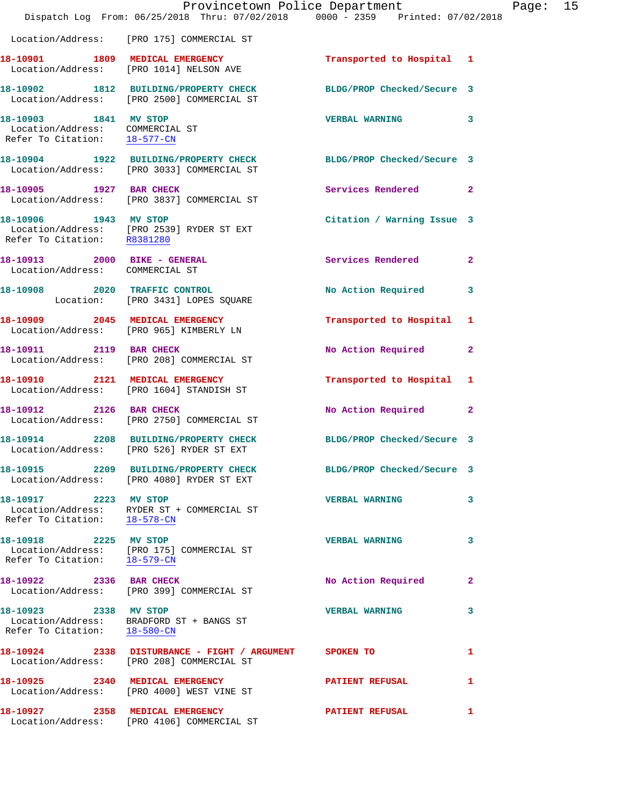|                                                                                          | Dispatch Log From: 06/25/2018 Thru: 07/02/2018 0000 - 2359 Printed: 07/02/2018                                       | Provincetown Police Department |              | Page: 15 |  |
|------------------------------------------------------------------------------------------|----------------------------------------------------------------------------------------------------------------------|--------------------------------|--------------|----------|--|
|                                                                                          | Location/Address: [PRO 175] COMMERCIAL ST                                                                            |                                |              |          |  |
|                                                                                          | 18-10901 1809 MEDICAL EMERGENCY<br>Location/Address: [PRO 1014] NELSON AVE                                           | Transported to Hospital 1      |              |          |  |
|                                                                                          | 18-10902 1812 BUILDING/PROPERTY CHECK BLDG/PROP Checked/Secure 3<br>Location/Address: [PRO 2500] COMMERCIAL ST       |                                |              |          |  |
| 18-10903 1841 MV STOP<br>Location/Address: COMMERCIAL ST<br>Refer To Citation: 18-577-CN |                                                                                                                      | VERBAL WARNING 3               |              |          |  |
|                                                                                          | 18-10904   1922   BUILDING/PROPERTY CHECK   BLDG/PROP Checked/Secure 3<br>Location/Address: [PRO 3033] COMMERCIAL ST |                                |              |          |  |
|                                                                                          | 18-10905 1927 BAR CHECK<br>Location/Address: [PRO 3837] COMMERCIAL ST                                                | Services Rendered 2            |              |          |  |
| 18-10906 1943 MV STOP                                                                    | Location/Address: [PRO 2539] RYDER ST EXT<br>Refer To Citation: R8381280                                             | Citation / Warning Issue 3     |              |          |  |
| 18-10913 2000 BIKE - GENERAL<br>Location/Address: COMMERCIAL ST                          |                                                                                                                      | Services Rendered 2            |              |          |  |
|                                                                                          | 18-10908 2020 TRAFFIC CONTROL<br>Location: [PRO 3431] LOPES SQUARE                                                   | No Action Required 3           |              |          |  |
|                                                                                          | 18-10909 2045 MEDICAL EMERGENCY<br>Location/Address: [PRO 965] KIMBERLY LN                                           | Transported to Hospital 1      |              |          |  |
|                                                                                          | 18-10911 2119 BAR CHECK<br>Location/Address: [PRO 208] COMMERCIAL ST                                                 | No Action Required 2           |              |          |  |
|                                                                                          | 18-10910 2121 MEDICAL EMERGENCY<br>Location/Address: [PRO 1604] STANDISH ST                                          | Transported to Hospital 1      |              |          |  |
|                                                                                          | 18-10912 2126 BAR CHECK<br>Location/Address: [PRO 2750] COMMERCIAL ST                                                | No Action Required 2           |              |          |  |
|                                                                                          | 18-10914 2208 BUILDING/PROPERTY CHECK<br>Location/Address: [PRO 526] RYDER ST EXT                                    | BLDG/PROP Checked/Secure 3     |              |          |  |
|                                                                                          | 18-10915 2209 BUILDING/PROPERTY CHECK BLDG/PROP Checked/Secure 3<br>Location/Address: [PRO 4080] RYDER ST EXT        |                                |              |          |  |
| 18-10917 2223 MV STOP<br>Refer To Citation: 18-578-CN                                    | Location/Address: RYDER ST + COMMERCIAL ST                                                                           | VERBAL WARNING 3               |              |          |  |
| 18-10918 2225 MV STOP                                                                    | Location/Address: [PRO 175] COMMERCIAL ST<br>Refer To Citation: $\frac{18-579-CN}{18-579-CN}$                        | <b>VERBAL WARNING</b>          | 3            |          |  |
| 18-10922 2336 BAR CHECK                                                                  | Location/Address: [PRO 399] COMMERCIAL ST                                                                            | No Action Required             | $\mathbf{2}$ |          |  |
| 18-10923 2338 MV STOP<br>Refer To Citation: 18-580-CN                                    | Location/Address: BRADFORD ST + BANGS ST                                                                             | <b>VERBAL WARNING</b>          | 3            |          |  |
|                                                                                          | 18-10924 2338 DISTURBANCE - FIGHT / ARGUMENT SPOKEN TO<br>Location/Address: [PRO 208] COMMERCIAL ST                  |                                | 1            |          |  |
|                                                                                          | 18-10925 2340 MEDICAL EMERGENCY<br>Location/Address: [PRO 4000] WEST VINE ST                                         | <b>PATIENT REFUSAL</b>         | $\mathbf{1}$ |          |  |
|                                                                                          | 18-10927 2358 MEDICAL EMERGENCY<br>Location/Address: [PRO 4106] COMMERCIAL ST                                        | <b>PATIENT REFUSAL</b>         | 1            |          |  |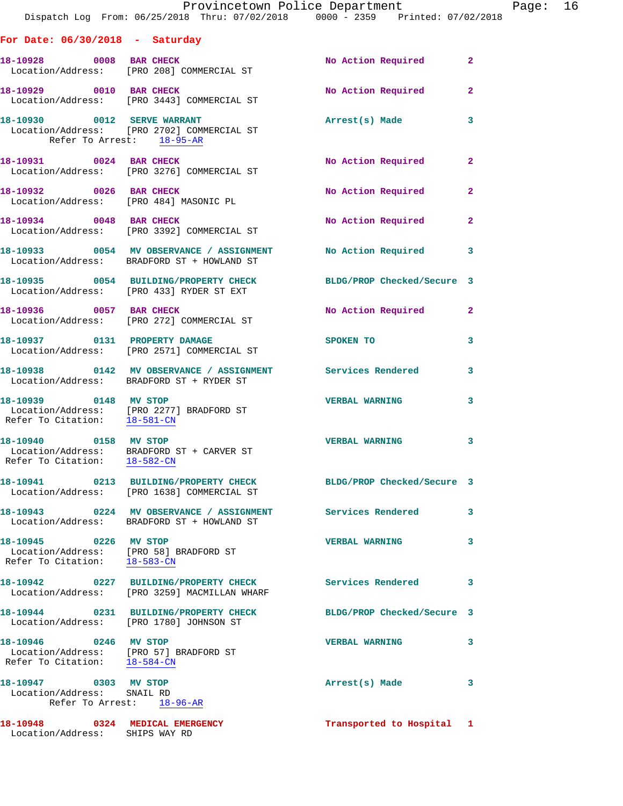|                                                                                                 | Provincetown Police Department<br>Dispatch Log From: 06/25/2018 Thru: 07/02/2018                0000 - 2359   Printed: 07/02/2018 |                            |                |
|-------------------------------------------------------------------------------------------------|-----------------------------------------------------------------------------------------------------------------------------------|----------------------------|----------------|
| For Date: $06/30/2018$ - Saturday                                                               |                                                                                                                                   |                            |                |
|                                                                                                 | 18-10928 0008 BAR CHECK<br>Location/Address: [PRO 208] COMMERCIAL ST                                                              | No Action Required         | $\mathbf{2}$   |
| 18-10929 0010 BAR CHECK                                                                         | Location/Address: [PRO 3443] COMMERCIAL ST                                                                                        | <b>No Action Required</b>  | $\mathbf{2}$   |
| Refer To Arrest: 18-95-AR                                                                       | 18-10930 0012 SERVE WARRANT<br>Location/Address: [PRO 2702] COMMERCIAL ST                                                         | Arrest(s) Made             | 3              |
|                                                                                                 | 18-10931 0024 BAR CHECK<br>Location/Address: [PRO 3276] COMMERCIAL ST                                                             | No Action Required         | $\mathbf{2}$   |
| 18-10932 0026 BAR CHECK                                                                         | Location/Address: [PRO 484] MASONIC PL                                                                                            | <b>No Action Required</b>  | $\overline{a}$ |
|                                                                                                 | 18-10934 0048 BAR CHECK<br>Location/Address: [PRO 3392] COMMERCIAL ST                                                             | No Action Required         | $\mathbf{2}$   |
|                                                                                                 | 18-10933 0054 MV OBSERVANCE / ASSIGNMENT No Action Required<br>Location/Address: BRADFORD ST + HOWLAND ST                         |                            | 3              |
|                                                                                                 | 18-10935 0054 BUILDING/PROPERTY CHECK<br>Location/Address: [PRO 433] RYDER ST EXT                                                 | BLDG/PROP Checked/Secure 3 |                |
| 18-10936 0057 BAR CHECK                                                                         | Location/Address: [PRO 272] COMMERCIAL ST                                                                                         | No Action Required         | $\mathbf{2}$   |
|                                                                                                 | 18-10937 0131 PROPERTY DAMAGE<br>Location/Address: [PRO 2571] COMMERCIAL ST                                                       | SPOKEN TO                  | 3              |
|                                                                                                 | 18-10938 0142 MV OBSERVANCE / ASSIGNMENT Services Rendered<br>Location/Address: BRADFORD ST + RYDER ST                            |                            | 3              |
| 18-10939 0148 MV STOP<br>Refer To Citation: 18-581-CN                                           | Location/Address: [PRO 2277] BRADFORD ST                                                                                          | <b>VERBAL WARNING</b>      | 3              |
| Refer To Citation: 18-582-CN                                                                    | 18-10940 0158 MV STOP<br>Location/Address: BRADFORD ST + CARVER ST                                                                | <b>VERBAL WARNING</b>      | 3              |
|                                                                                                 | 18-10941 0213 BUILDING/PROPERTY CHECK<br>Location/Address: [PRO 1638] COMMERCIAL ST                                               | BLDG/PROP Checked/Secure 3 |                |
|                                                                                                 | 18-10943 0224 MV OBSERVANCE / ASSIGNMENT<br>Location/Address: BRADFORD ST + HOWLAND ST                                            | Services Rendered          | 3              |
| 18-10945 0226 MV STOP<br>Refer To Citation: 18-583-CN                                           | Location/Address: [PRO 58] BRADFORD ST                                                                                            | <b>VERBAL WARNING</b>      | 3              |
|                                                                                                 | 18-10942 0227 BUILDING/PROPERTY CHECK<br>Location/Address: [PRO 3259] MACMILLAN WHARF                                             | <b>Services Rendered</b>   | 3              |
| Location/Address: [PRO 1780] JOHNSON ST                                                         | 18-10944 0231 BUILDING/PROPERTY CHECK                                                                                             | BLDG/PROP Checked/Secure 3 |                |
| 18-10946 0246 MV STOP<br>Location/Address: [PRO 57] BRADFORD ST<br>Refer To Citation: 18-584-CN |                                                                                                                                   | <b>VERBAL WARNING</b>      | 3              |
| 18-10947 0303 MV STOP<br>Location/Address: SNAIL RD                                             | Refer To Arrest: 18-96-AR                                                                                                         | Arrest(s) Made             | 3              |
| 18-10948 0324 MEDICAL EMERGENCY<br>Location/Address: SHIPS WAY RD                               |                                                                                                                                   | Transported to Hospital 1  |                |

Page: 16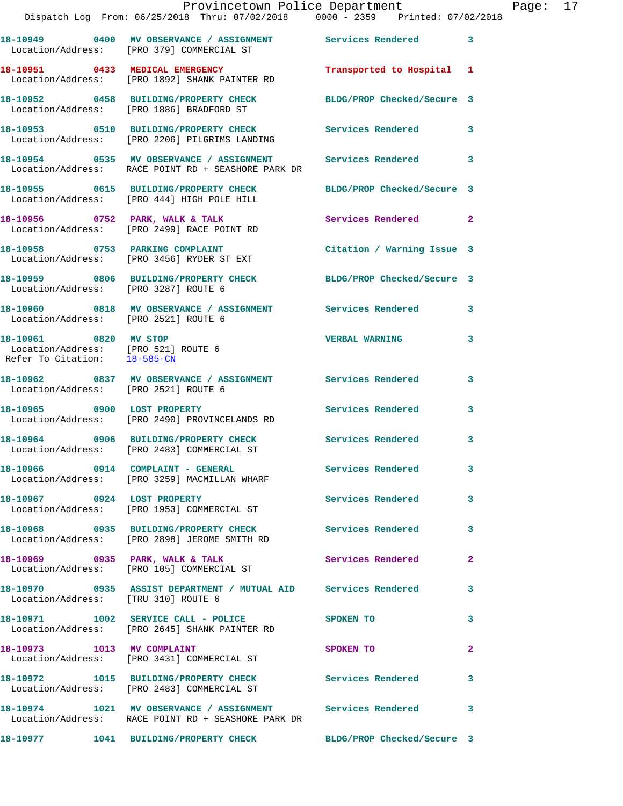|                                      | Dispatch Log From: 06/25/2018 Thru: 07/02/2018 0000 - 2359 Printed: 07/02/2018                                     | Provincetown Police Department Page: 17 |              |  |
|--------------------------------------|--------------------------------------------------------------------------------------------------------------------|-----------------------------------------|--------------|--|
|                                      | 18-10949 0400 MV OBSERVANCE / ASSIGNMENT Services Rendered 3<br>Location/Address: [PRO 379] COMMERCIAL ST          |                                         |              |  |
|                                      | 18-10951 0433 MEDICAL EMERGENCY Transported to Hospital 1<br>Location/Address: [PRO 1892] SHANK PAINTER RD         |                                         |              |  |
|                                      | 18-10952 0458 BUILDING/PROPERTY CHECK BLDG/PROP Checked/Secure 3<br>Location/Address: [PRO 1886] BRADFORD ST       |                                         |              |  |
|                                      | 18-10953   0510   BUILDING/PROPERTY CHECK   Services Rendered   3<br>Location/Address: [PRO 2206] PILGRIMS LANDING |                                         |              |  |
|                                      | 18-10954 0535 MV OBSERVANCE / ASSIGNMENT Services Rendered<br>Location/Address: RACE POINT RD + SEASHORE PARK DR   |                                         | $\mathbf{3}$ |  |
|                                      | 18-10955 0615 BUILDING/PROPERTY CHECK BLDG/PROP Checked/Secure 3<br>Location/Address: [PRO 444] HIGH POLE HILL     |                                         |              |  |
|                                      | 18-10956 0752 PARK, WALK & TALK 1988 Services Rendered 2<br>Location/Address: [PRO 2499] RACE POINT RD             |                                         |              |  |
|                                      | 18-10958 0753 PARKING COMPLAINT<br>Location/Address: [PRO 3456] RYDER ST EXT                                       | Citation / Warning Issue 3              |              |  |
| Location/Address: [PRO 3287] ROUTE 6 | 18-10959 0806 BUILDING/PROPERTY CHECK BLDG/PROP Checked/Secure 3                                                   |                                         |              |  |
| Location/Address: [PRO 2521] ROUTE 6 | 18-10960 0818 MV OBSERVANCE / ASSIGNMENT Services Rendered                                                         |                                         | 3            |  |
| 18-10961 0820 MV STOP                | Location/Address: [PRO 521] ROUTE 6<br>Refer To Citation: 18-585-CN                                                | <b>VERBAL WARNING</b>                   | 3            |  |
| Location/Address: [PRO 2521] ROUTE 6 | 18-10962 0837 MV OBSERVANCE / ASSIGNMENT Services Rendered                                                         |                                         | 3            |  |
|                                      |                                                                                                                    | Services Rendered                       | 3            |  |
|                                      | 18-10964 0906 BUILDING/PROPERTY CHECK Services Rendered<br>Location/Address: [PRO 2483] COMMERCIAL ST              |                                         | 3            |  |
|                                      | 18-10966 0914 COMPLAINT - GENERAL Services Rendered 3<br>Location/Address: [PRO 3259] MACMILLAN WHARF              |                                         |              |  |
|                                      | 18-10967 0924 LOST PROPERTY<br>Location/Address: [PRO 1953] COMMERCIAL ST                                          | <b>Services Rendered</b>                | 3            |  |
|                                      | 18-10968 0935 BUILDING/PROPERTY CHECK Services Rendered 3<br>Location/Address: [PRO 2898] JEROME SMITH RD          |                                         |              |  |
|                                      | 18-10969 0935 PARK, WALK & TALK Services Rendered<br>Location/Address: [PRO 105] COMMERCIAL ST                     |                                         | $\mathbf{2}$ |  |
| Location/Address: [TRU 310] ROUTE 6  | 18-10970 0935 ASSIST DEPARTMENT / MUTUAL AID Services Rendered                                                     |                                         | 3            |  |
|                                      | 18-10971 1002 SERVICE CALL - POLICE<br>Location/Address: [PRO 2645] SHANK PAINTER RD                               | SPOKEN TO                               | 3            |  |
| 18-10973 1013 MV COMPLAINT           | Location/Address: [PRO 3431] COMMERCIAL ST                                                                         | SPOKEN TO                               | $\mathbf{2}$ |  |
|                                      | 18-10972 1015 BUILDING/PROPERTY CHECK Services Rendered<br>Location/Address: [PRO 2483] COMMERCIAL ST              |                                         | 3            |  |
|                                      | Location/Address: RACE POINT RD + SEASHORE PARK DR                                                                 |                                         | 3            |  |
|                                      |                                                                                                                    |                                         |              |  |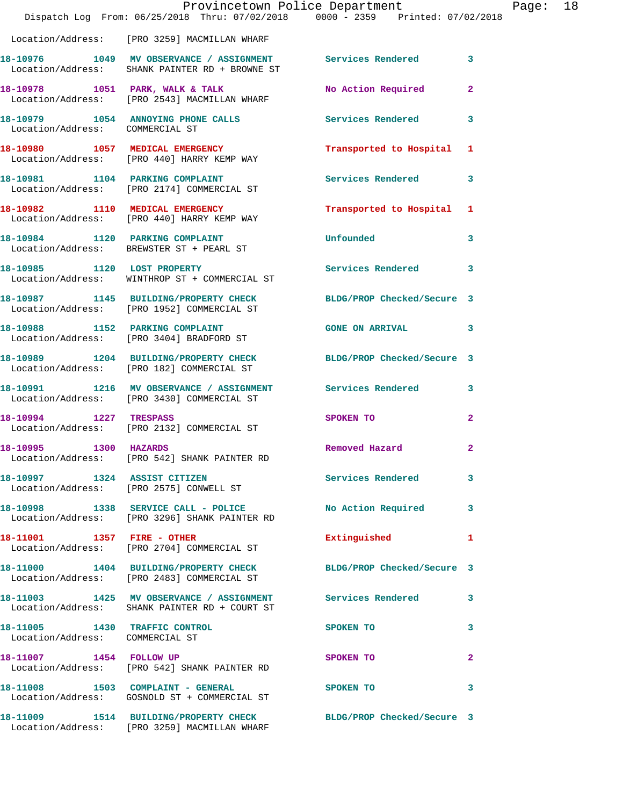|                                                                  | Dispatch Log From: 06/25/2018 Thru: 07/02/2018 0000 - 2359 Printed: 07/02/2018                                 | Provincetown Police Department |                | Page: 18 |  |
|------------------------------------------------------------------|----------------------------------------------------------------------------------------------------------------|--------------------------------|----------------|----------|--|
|                                                                  | Location/Address: [PRO 3259] MACMILLAN WHARF                                                                   |                                |                |          |  |
|                                                                  | 18-10976 1049 MV OBSERVANCE / ASSIGNMENT Services Rendered 3<br>Location/Address: SHANK PAINTER RD + BROWNE ST |                                |                |          |  |
|                                                                  | 18-10978 1051 PARK, WALK & TALK<br>Location/Address: [PRO 2543] MACMILLAN WHARF                                | No Action Required             | $\overline{2}$ |          |  |
| Location/Address: COMMERCIAL ST                                  | 18-10979 1054 ANNOYING PHONE CALLS                                                                             | <b>Services Rendered</b>       | $\mathbf{3}$   |          |  |
|                                                                  | 18-10980 1057 MEDICAL EMERGENCY<br>Location/Address: [PRO 440] HARRY KEMP WAY                                  | Transported to Hospital 1      |                |          |  |
|                                                                  | 18-10981 1104 PARKING COMPLAINT<br>Location/Address: [PRO 2174] COMMERCIAL ST                                  | Services Rendered 3            |                |          |  |
|                                                                  | 18-10982 1110 MEDICAL EMERGENCY<br>Location/Address: [PRO 440] HARRY KEMP WAY                                  | Transported to Hospital 1      |                |          |  |
|                                                                  | 18-10984 1120 PARKING COMPLAINT<br>Location/Address: BREWSTER ST + PEARL ST                                    | <b>Unfounded</b>               | $\mathbf{3}$   |          |  |
|                                                                  | 18-10985 1120 LOST PROPERTY<br>Location/Address: WINTHROP ST + COMMERCIAL ST                                   | Services Rendered 3            |                |          |  |
|                                                                  | 18-10987 1145 BUILDING/PROPERTY CHECK BLDG/PROP Checked/Secure 3<br>Location/Address: [PRO 1952] COMMERCIAL ST |                                |                |          |  |
|                                                                  | 18-10988 1152 PARKING COMPLAINT<br>Location/Address: [PRO 3404] BRADFORD ST                                    | GONE ON ARRIVAL 3              |                |          |  |
|                                                                  | 18-10989 1204 BUILDING/PROPERTY CHECK BLDG/PROP Checked/Secure 3<br>Location/Address: [PRO 182] COMMERCIAL ST  |                                |                |          |  |
|                                                                  | 18-10991 1216 MV OBSERVANCE / ASSIGNMENT Services Rendered 3<br>Location/Address: [PRO 3430] COMMERCIAL ST     |                                |                |          |  |
| 18-10994 1227 TRESPASS                                           | Location/Address: [PRO 2132] COMMERCIAL ST                                                                     | SPOKEN TO                      | $\mathbf{2}$   |          |  |
| 18-10995 1300 HAZARDS                                            | Location/Address: [PRO 542] SHANK PAINTER RD                                                                   | Removed Hazard                 | $\mathbf{2}$   |          |  |
|                                                                  | 18-10997 1324 ASSIST CITIZEN<br>Location/Address: [PRO 2575] CONWELL ST                                        | Services Rendered 3            |                |          |  |
|                                                                  | 18-10998 1338 SERVICE CALL - POLICE<br>Location/Address: [PRO 3296] SHANK PAINTER RD                           | No Action Required 3           |                |          |  |
| 18-11001 1357 FIRE - OTHER                                       | Location/Address: [PRO 2704] COMMERCIAL ST                                                                     | Extinguished                   | 1              |          |  |
|                                                                  | 18-11000 1404 BUILDING/PROPERTY CHECK<br>Location/Address: [PRO 2483] COMMERCIAL ST                            | BLDG/PROP Checked/Secure 3     |                |          |  |
|                                                                  | 18-11003 1425 MV OBSERVANCE / ASSIGNMENT Services Rendered 3<br>Location/Address: SHANK PAINTER RD + COURT ST  |                                |                |          |  |
| 18-11005 1430 TRAFFIC CONTROL<br>Location/Address: COMMERCIAL ST |                                                                                                                | SPOKEN TO                      | 3              |          |  |
|                                                                  | 18-11007 1454 FOLLOW UP<br>Location/Address: [PRO 542] SHANK PAINTER RD                                        | SPOKEN TO                      | $\mathbf{2}$   |          |  |
|                                                                  | 18-11008 1503 COMPLAINT - GENERAL<br>Location/Address: GOSNOLD ST + COMMERCIAL ST                              | SPOKEN TO                      | 3              |          |  |
|                                                                  | 18-11009 1514 BUILDING/PROPERTY CHECK<br>Location/Address: [PRO 3259] MACMILLAN WHARF                          | BLDG/PROP Checked/Secure 3     |                |          |  |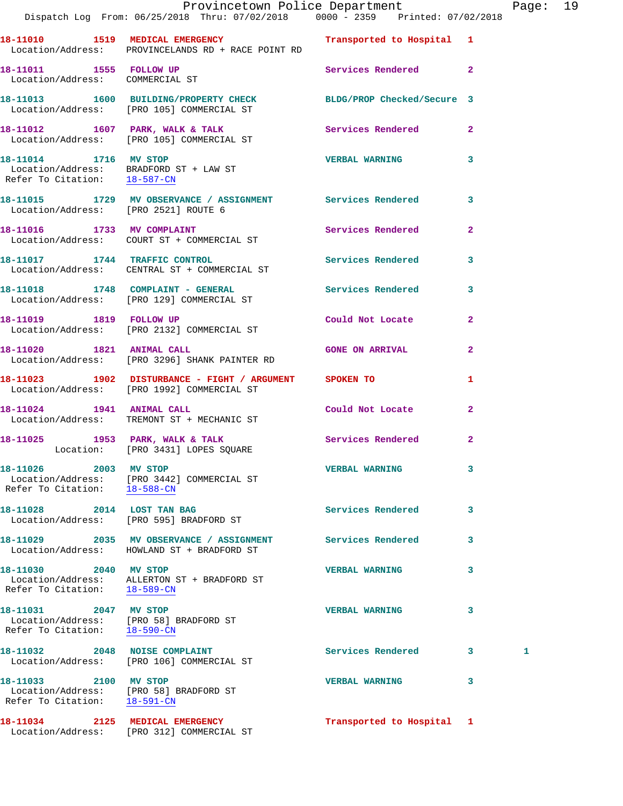|                                                                                                 | Provincetown Police Department Page: 19<br>Dispatch Log From: 06/25/2018 Thru: 07/02/2018 0000 - 2359 Printed: 07/02/2018 |                           |                |   |  |
|-------------------------------------------------------------------------------------------------|---------------------------------------------------------------------------------------------------------------------------|---------------------------|----------------|---|--|
|                                                                                                 |                                                                                                                           |                           |                |   |  |
|                                                                                                 | 18-11010 1519 MEDICAL EMERGENCY Transported to Hospital 1<br>Location/Address: PROVINCELANDS RD + RACE POINT RD           |                           |                |   |  |
|                                                                                                 | 18-11011 1555 FOLLOW UP<br>Location/Address: COMMERCIAL ST                                                                | Services Rendered 2       |                |   |  |
|                                                                                                 | 18-11013 1600 BUILDING/PROPERTY CHECK BLDG/PROP Checked/Secure 3<br>Location/Address: [PRO 105] COMMERCIAL ST             |                           |                |   |  |
|                                                                                                 | 18-11012 1607 PARK, WALK & TALK 1998 Services Rendered 2<br>Location/Address: [PRO 105] COMMERCIAL ST                     |                           |                |   |  |
|                                                                                                 | 18-11014 1716 MV STOP<br>Location/Address: BRADFORD ST + LAW ST<br>Refer To Citation: <u>18-587-CN</u>                    | VERBAL WARNING 3          |                |   |  |
| Location/Address: [PRO 2521] ROUTE 6                                                            | 18-11015 1729 MV OBSERVANCE / ASSIGNMENT Services Rendered 3                                                              |                           |                |   |  |
|                                                                                                 | 18-11016 1733 MV COMPLAINT<br>Location/Address: COURT ST + COMMERCIAL ST                                                  | Services Rendered         | $\overline{2}$ |   |  |
|                                                                                                 | 18-11017 1744 TRAFFIC CONTROL<br>Location/Address: CENTRAL ST + COMMERCIAL ST                                             | Services Rendered 3       |                |   |  |
|                                                                                                 | 18-11018 1748 COMPLAINT - GENERAL Services Rendered 3<br>Location/Address: [PRO 129] COMMERCIAL ST                        |                           |                |   |  |
|                                                                                                 | 18-11019 1819 FOLLOW UP<br>Location/Address: [PRO 2132] COMMERCIAL ST                                                     | Could Not Locate          | $\mathbf{2}$   |   |  |
| 18-11020 1821 ANIMAL CALL                                                                       | Location/Address: [PRO 3296] SHANK PAINTER RD                                                                             | <b>GONE ON ARRIVAL</b>    | $\mathbf{2}$   |   |  |
|                                                                                                 | 18-11023 1902 DISTURBANCE - FIGHT / ARGUMENT SPOKEN TO<br>Location/Address: [PRO 1992] COMMERCIAL ST                      |                           | 1              |   |  |
| 18-11024 1941 ANIMAL CALL                                                                       | Location/Address: TREMONT ST + MECHANIC ST                                                                                | Could Not Locate          | $\mathbf{2}$   |   |  |
|                                                                                                 | 18-11025 1953 PARK, WALK & TALK 1988 Services Rendered 2<br>Location: [PRO 3431] LOPES SQUARE                             |                           |                |   |  |
| 18-11026 2003 MV STOP<br>Refer To Citation: 18-588-CN                                           | Location/Address: [PRO 3442] COMMERCIAL ST                                                                                | <b>VERBAL WARNING</b>     | 3              |   |  |
|                                                                                                 | 18-11028 2014 LOST TAN BAG<br>Location/Address: [PRO 595] BRADFORD ST                                                     | <b>Services Rendered</b>  | 3              |   |  |
|                                                                                                 | 18-11029 2035 MV OBSERVANCE / ASSIGNMENT<br>Location/Address: HOWLAND ST + BRADFORD ST                                    | Services Rendered         | 3              |   |  |
| 18-11030 2040 MV STOP<br>Refer To Citation: 18-589-CN                                           | Location/Address: ALLERTON ST + BRADFORD ST                                                                               | <b>VERBAL WARNING</b>     | 3              |   |  |
| 18-11031 2047 MV STOP<br>Refer To Citation: 18-590-CN                                           | Location/Address: [PRO 58] BRADFORD ST                                                                                    | <b>VERBAL WARNING</b>     | 3              |   |  |
|                                                                                                 | 18-11032 2048 NOISE COMPLAINT<br>Location/Address: [PRO 106] COMMERCIAL ST                                                | Services Rendered 3       |                | 1 |  |
| 18-11033 2100 MV STOP<br>Location/Address: [PRO 58] BRADFORD ST<br>Refer To Citation: 18-591-CN |                                                                                                                           | <b>VERBAL WARNING</b>     | 3              |   |  |
|                                                                                                 | 18-11034 2125 MEDICAL EMERGENCY<br>Location/Address: [PRO 312] COMMERCIAL ST                                              | Transported to Hospital 1 |                |   |  |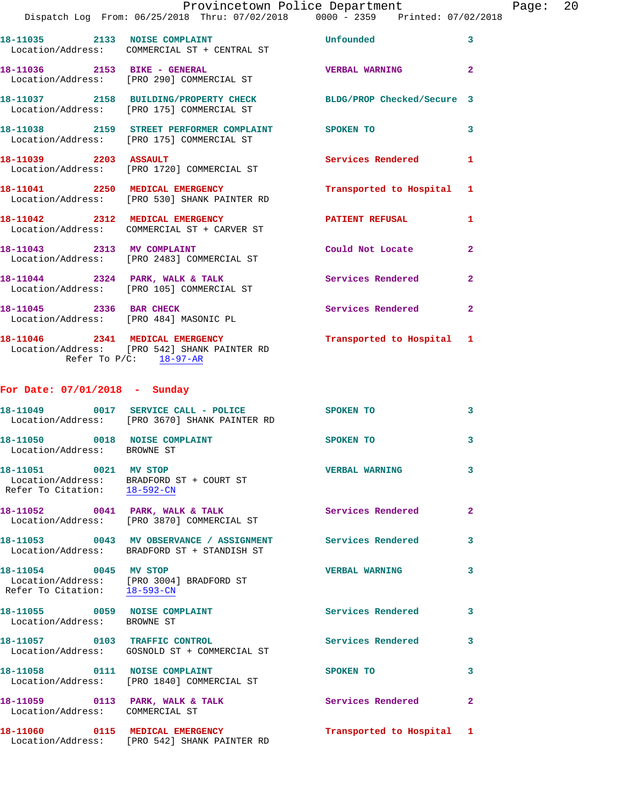|                       | Provincetown Police Department                                                                                |                           |                |
|-----------------------|---------------------------------------------------------------------------------------------------------------|---------------------------|----------------|
|                       | Dispatch Log From: 06/25/2018 Thru: 07/02/2018 0000 - 2359 Printed: 07/02/2018                                |                           |                |
|                       | 18-11035 2133 NOISE COMPLAINT<br>Location/Address: COMMERCIAL ST + CENTRAL ST                                 | Unfounded                 | 3              |
|                       | 18-11036 2153 BIKE - GENERAL<br>Location/Address: [PRO 290] COMMERCIAL ST                                     | <b>VERBAL WARNING</b>     | $\overline{a}$ |
|                       | 18-11037 2158 BUILDING/PROPERTY CHECK BLDG/PROP Checked/Secure 3<br>Location/Address: [PRO 175] COMMERCIAL ST |                           |                |
|                       | 18-11038 2159 STREET PERFORMER COMPLAINT SPOKEN TO<br>Location/Address: [PRO 175] COMMERCIAL ST               |                           | 3              |
| 18-11039 2203 ASSAULT | Location/Address: [PRO 1720] COMMERCIAL ST                                                                    | Services Rendered         | $\mathbf{1}$   |
|                       | 18-11041 2250 MEDICAL EMERGENCY<br>Location/Address: [PRO 530] SHANK PAINTER RD                               | Transported to Hospital 1 |                |
|                       | 18-11042 2312 MEDICAL EMERGENCY<br>Location/Address: COMMERCIAL ST + CARVER ST                                | <b>PATIENT REFUSAL</b>    | 1              |
|                       | 18-11043 2313 MV COMPLAINT<br>Location/Address: [PRO 2483] COMMERCIAL ST                                      | Could Not Locate          | $\overline{2}$ |
|                       |                                                                                                               |                           |                |

**18-11044 2324 PARK, WALK & TALK Services Rendered 2**  Location/Address: [PRO 105] COMMERCIAL ST **18-11045 2336 BAR CHECK Services Rendered 2**  Location/Address: [PRO 484] MASONIC PL

**18-11046 2341 MEDICAL EMERGENCY Transported to Hospital 1**  Location/Address: [PRO 542] SHANK PAINTER RD Refer To  $P/C$ :  $\frac{18-97-AR}{2}$ 

## **For Date: 07/01/2018 - Sunday**

|                                                              | 18-11049 0017 SERVICE CALL - POLICE<br>Location/Address: [PRO 3670] SHANK PAINTER RD   | SPOKEN TO                 | $\mathbf{3}$            |
|--------------------------------------------------------------|----------------------------------------------------------------------------------------|---------------------------|-------------------------|
| 18-11050 0018 NOISE COMPLAINT<br>Location/Address: BROWNE ST |                                                                                        | SPOKEN TO                 | $\overline{\mathbf{3}}$ |
| 18-11051 0021 MV STOP                                        | Location/Address: BRADFORD ST + COURT ST<br>Refer To Citation: $\frac{18-592-CN}{\pi}$ | <b>VERBAL WARNING</b>     | $\overline{\mathbf{3}}$ |
|                                                              | 18-11052 0041 PARK, WALK & TALK<br>Location/Address: [PRO 3870] COMMERCIAL ST          | <b>Services Rendered</b>  | $\overline{2}$          |
|                                                              | Location/Address: BRADFORD ST + STANDISH ST                                            |                           | $\mathbf{3}$            |
| 18-11054 0045 MV STOP                                        | Location/Address: [PRO 3004] BRADFORD ST<br>Refer To Citation: 18-593-CN               | <b>VERBAL WARNING</b>     | $\mathbf{3}$            |
| 18-11055 0059 NOISE COMPLAINT<br>Location/Address: BROWNE ST |                                                                                        | Services Rendered         | $\overline{3}$          |
|                                                              | 18-11057 0103 TRAFFIC CONTROL<br>Location/Address: GOSNOLD ST + COMMERCIAL ST          | <b>Services Rendered</b>  | $\mathbf{3}$            |
| 18-11058 0111 NOISE COMPLAINT                                | Location/Address: [PRO 1840] COMMERCIAL ST                                             | SPOKEN TO                 | $\mathbf{3}$            |
| Location/Address: COMMERCIAL ST                              | 18-11059 0113 PARK, WALK & TALK                                                        | <b>Services Rendered</b>  | $\overline{2}$          |
|                                                              | 18-11060 0115 MEDICAL EMERGENCY<br>Location/Address: [PRO 542] SHANK PAINTER RD        | Transported to Hospital 1 |                         |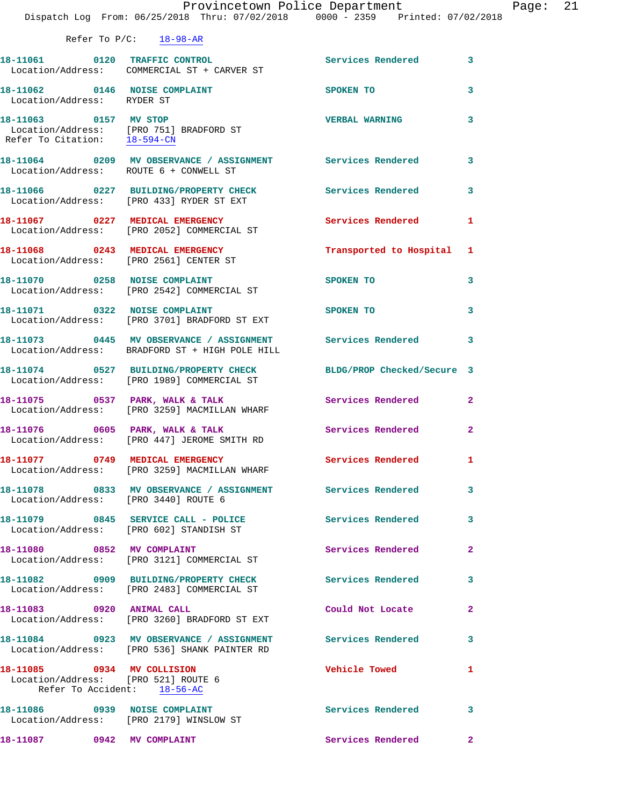|  | Refer To $P/C$ : |  |  | $18 - 98 - AR$ |
|--|------------------|--|--|----------------|
|--|------------------|--|--|----------------|

|                                                                                                  | 18-11061 0120 TRAFFIC CONTROL<br>Location/Address: COMMERCIAL ST + CARVER ST                                   | Services Rendered 3        |                         |
|--------------------------------------------------------------------------------------------------|----------------------------------------------------------------------------------------------------------------|----------------------------|-------------------------|
| 18-11062 0146 NOISE COMPLAINT<br>Location/Address: RYDER ST                                      |                                                                                                                | SPOKEN TO                  | $\mathbf{3}$            |
| 18-11063 0157 MV STOP<br>Refer To Citation: 18-594-CN                                            | Location/Address: [PRO 751] BRADFORD ST                                                                        | <b>VERBAL WARNING</b>      | 3                       |
| Location/Address: ROUTE 6 + CONWELL ST                                                           | 18-11064 0209 MV OBSERVANCE / ASSIGNMENT Services Rendered 3                                                   |                            |                         |
|                                                                                                  | 18-11066 0227 BUILDING/PROPERTY CHECK<br>Location/Address: [PRO 433] RYDER ST EXT                              | Services Rendered 3        |                         |
|                                                                                                  | 18-11067 0227 MEDICAL EMERGENCY<br>Location/Address: [PRO 2052] COMMERCIAL ST                                  | <b>Services Rendered</b>   | 1                       |
|                                                                                                  | 18-11068 0243 MEDICAL EMERGENCY<br>Location/Address: [PRO 2561] CENTER ST                                      | Transported to Hospital    | $\mathbf{1}$            |
|                                                                                                  | 18-11070 0258 NOISE COMPLAINT<br>Location/Address: [PRO 2542] COMMERCIAL ST                                    | SPOKEN TO                  | 3                       |
| 18-11071 0322 NOISE COMPLAINT                                                                    | Location/Address: [PRO 3701] BRADFORD ST EXT                                                                   | SPOKEN TO                  | $\overline{\mathbf{3}}$ |
|                                                                                                  | 18-11073 0445 MV OBSERVANCE / ASSIGNMENT Services Rendered 3<br>Location/Address: BRADFORD ST + HIGH POLE HILL |                            |                         |
|                                                                                                  | 18-11074 0527 BUILDING/PROPERTY CHECK<br>Location/Address: [PRO 1989] COMMERCIAL ST                            | BLDG/PROP Checked/Secure 3 |                         |
|                                                                                                  | 18-11075 0537 PARK, WALK & TALK<br>Location/Address: [PRO 3259] MACMILLAN WHARF                                | Services Rendered          | $\mathbf{2}$            |
|                                                                                                  | 18-11076 0605 PARK, WALK & TALK<br>Location/Address: [PRO 447] JEROME SMITH RD                                 | Services Rendered          | $\overline{a}$          |
|                                                                                                  | 18-11077 0749 MEDICAL EMERGENCY<br>Location/Address: [PRO 3259] MACMILLAN WHARF                                | <b>Services Rendered</b>   | 1                       |
| Location/Address: [PRO 3440] ROUTE 6                                                             | 18-11078 0833 MV OBSERVANCE / ASSIGNMENT Services Rendered 3                                                   |                            |                         |
|                                                                                                  | 18-11079 0845 SERVICE CALL - POLICE<br>Location/Address: [PRO 602] STANDISH ST                                 | Services Rendered          | 3                       |
| 18-11080 0852 MV COMPLAINT                                                                       | Location/Address: [PRO 3121] COMMERCIAL ST                                                                     | Services Rendered          | $\overline{2}$          |
|                                                                                                  | 18-11082 0909 BUILDING/PROPERTY CHECK<br>Location/Address: [PRO 2483] COMMERCIAL ST                            | Services Rendered          | 3                       |
| 18-11083 0920 ANIMAL CALL                                                                        | Location/Address: [PRO 3260] BRADFORD ST EXT                                                                   | Could Not Locate           | $\mathbf{2}$            |
|                                                                                                  | 18-11084 0923 MV OBSERVANCE / ASSIGNMENT Services Rendered<br>Location/Address: [PRO 536] SHANK PAINTER RD     |                            | 3                       |
| 18-11085 0934 MV COLLISION<br>Location/Address: [PRO 521] ROUTE 6<br>Refer To Accident: 18-56-AC |                                                                                                                | Vehicle Towed              | 1                       |
| 18-11086 0939 NOISE COMPLAINT                                                                    | Location/Address: [PRO 2179] WINSLOW ST                                                                        | <b>Services Rendered</b>   | 3                       |
| 18-11087 0942 MV COMPLAINT                                                                       |                                                                                                                | Services Rendered 2        |                         |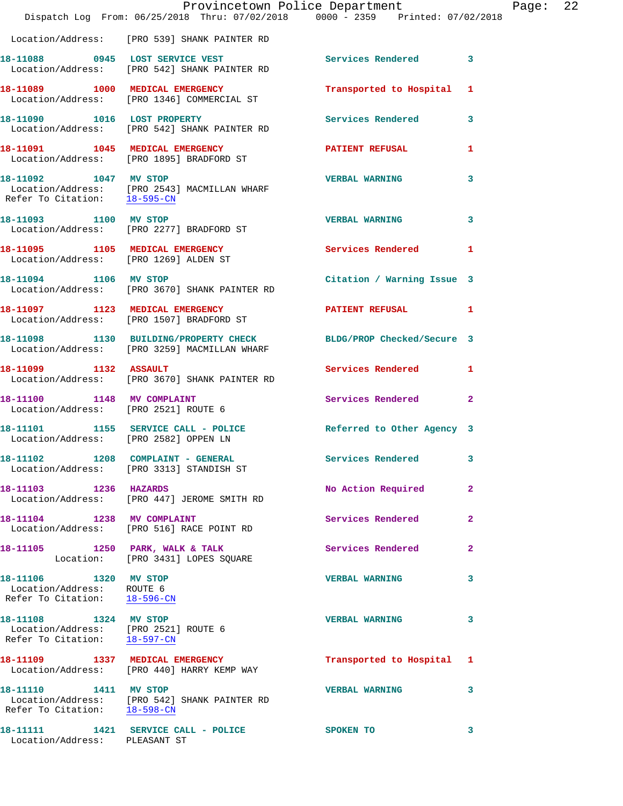|                                                                                               | Provincetown Police Department<br>Dispatch Log From: 06/25/2018 Thru: 07/02/2018 0000 - 2359 Printed: 07/02/2018 |                            | Page: 22     |  |
|-----------------------------------------------------------------------------------------------|------------------------------------------------------------------------------------------------------------------|----------------------------|--------------|--|
|                                                                                               | Location/Address: [PRO 539] SHANK PAINTER RD                                                                     |                            |              |  |
|                                                                                               | 18-11088 0945 LOST SERVICE VEST<br>Location/Address: [PRO 542] SHANK PAINTER RD                                  | Services Rendered 3        |              |  |
|                                                                                               | 18-11089 1000 MEDICAL EMERGENCY<br>Location/Address: [PRO 1346] COMMERCIAL ST                                    | Transported to Hospital 1  |              |  |
|                                                                                               | 18-11090 1016 LOST PROPERTY<br>Location/Address: [PRO 542] SHANK PAINTER RD                                      | Services Rendered 3        |              |  |
|                                                                                               | 18-11091 1045 MEDICAL EMERGENCY<br>Location/Address: [PRO 1895] BRADFORD ST                                      | <b>PATIENT REFUSAL</b>     | $\mathbf{1}$ |  |
| 18-11092 1047 MV STOP<br>Refer To Citation: 18-595-CN                                         | Location/Address: [PRO 2543] MACMILLAN WHARF                                                                     | <b>VERBAL WARNING</b>      | $\mathbf{3}$ |  |
|                                                                                               | 18-11093 1100 MV STOP<br>Location/Address: [PRO 2277] BRADFORD ST                                                | <b>VERBAL WARNING</b>      | 3            |  |
|                                                                                               | 18-11095 1105 MEDICAL EMERGENCY<br>Location/Address: [PRO 1269] ALDEN ST                                         | Services Rendered 1        |              |  |
|                                                                                               | 18-11094 1106 MV STOP<br>Location/Address: [PRO 3670] SHANK PAINTER RD                                           | Citation / Warning Issue 3 |              |  |
|                                                                                               | 18-11097 1123 MEDICAL EMERGENCY<br>Location/Address: [PRO 1507] BRADFORD ST                                      | PATIENT REFUSAL 1          |              |  |
|                                                                                               | 18-11098 1130 BUILDING/PROPERTY CHECK BLDG/PROP Checked/Secure 3<br>Location/Address: [PRO 3259] MACMILLAN WHARF |                            |              |  |
| 18-11099 1132 ASSAULT                                                                         | Location/Address: [PRO 3670] SHANK PAINTER RD                                                                    | Services Rendered 1        |              |  |
|                                                                                               | 18-11100 1148 MV COMPLAINT<br>Location/Address: [PRO 2521] ROUTE 6                                               | Services Rendered 2        |              |  |
| Location/Address: [PRO 2582] OPPEN LN                                                         | 18-11101 1155 SERVICE CALL - POLICE 10 Referred to Other Agency 3                                                |                            |              |  |
|                                                                                               | 18-11102 1208 COMPLAINT - GENERAL<br>Location/Address: [PRO 3313] STANDISH ST                                    | Services Rendered          | 3            |  |
| 18-11103 1236 HAZARDS                                                                         | Location/Address: [PRO 447] JEROME SMITH RD                                                                      | No Action Required 2       |              |  |
|                                                                                               | 18-11104 1238 MV COMPLAINT<br>Location/Address: [PRO 516] RACE POINT RD                                          | Services Rendered          | $\mathbf{2}$ |  |
|                                                                                               | 18-11105 1250 PARK, WALK & TALK<br>Location: [PRO 3431] LOPES SQUARE                                             | Services Rendered          | $\mathbf{2}$ |  |
| 18-11106 1320 MV STOP<br>Location/Address: ROUTE 6<br>Refer To Citation: 18-596-CN            |                                                                                                                  | <b>VERBAL WARNING</b>      | 3            |  |
| 18-11108 1324 MV STOP<br>Location/Address: [PRO 2521] ROUTE 6<br>Refer To Citation: 18-597-CN |                                                                                                                  | <b>VERBAL WARNING</b>      | 3            |  |
|                                                                                               | 18-11109 1337 MEDICAL EMERGENCY<br>Location/Address: [PRO 440] HARRY KEMP WAY                                    | Transported to Hospital 1  |              |  |
| 18-11110 1411 MV STOP                                                                         | Location/Address: [PRO 542] SHANK PAINTER RD<br>Refer To Citation: 18-598-CN                                     | <b>VERBAL WARNING</b>      | 3            |  |
| Location/Address: PLEASANT ST                                                                 | 18-11111 1421 SERVICE CALL - POLICE SPOKEN TO                                                                    |                            | 3            |  |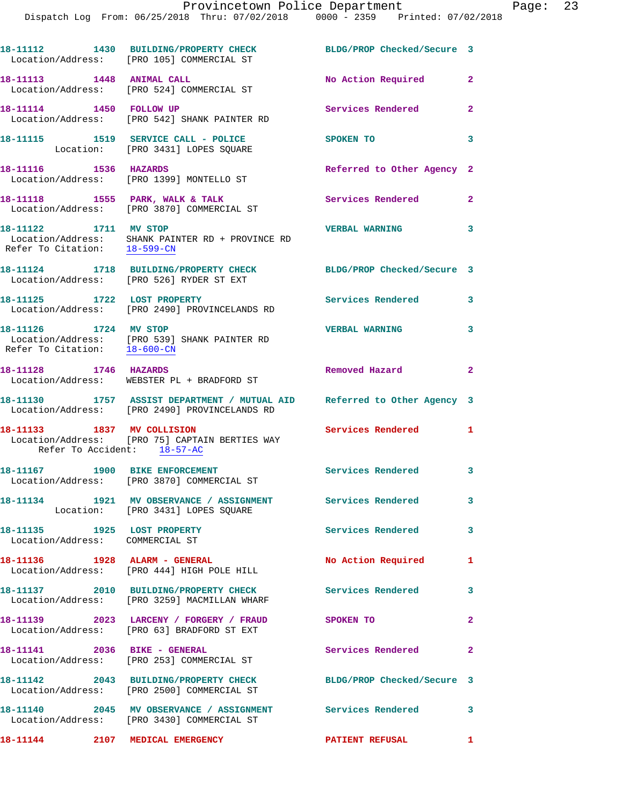**18-11112 1430 BUILDING/PROPERTY CHECK BLDG/PROP Checked/Secure 3**  Location/Address: [PRO 105] COMMERCIAL ST **18-11113 1448 ANIMAL CALL No Action Required 2**  Location/Address: [PRO 524] COMMERCIAL ST **18-11114 1450 FOLLOW UP Services Rendered 2**  Location/Address: [PRO 542] SHANK PAINTER RD **18-11115 1519 SERVICE CALL - POLICE SPOKEN TO 3**  Location: [PRO 3431] LOPES SQUARE **18-11116 1536 HAZARDS Referred to Other Agency 2**  Location/Address: [PRO 1399] MONTELLO ST **18-11118 1555 PARK, WALK & TALK Services Rendered 2**  Location/Address: [PRO 3870] COMMERCIAL ST **18-11122 1711 MV STOP VERBAL WARNING 3**  Location/Address: SHANK PAINTER RD + PROVINCE RD Refer To Citation: 18-599-CN **18-11124 1718 BUILDING/PROPERTY CHECK BLDG/PROP Checked/Secure 3**  Location/Address: [PRO 526] RYDER ST EXT **18-11125 1722 LOST PROPERTY Services Rendered 3**  Location/Address: [PRO 2490] PROVINCELANDS RD **18-11126 1724 MV STOP VERBAL WARNING 3**  Location/Address: [PRO 539] SHANK PAINTER RD Refer To Citation: 18-600-CN **18-11128 1746 HAZARDS Removed Hazard 2**  Location/Address: WEBSTER PL + BRADFORD ST **18-11130 1757 ASSIST DEPARTMENT / MUTUAL AID Referred to Other Agency 3**  Location/Address: [PRO 2490] PROVINCELANDS RD **18-11133 1837 MV COLLISION Services Rendered 1**  Location/Address: [PRO 75] CAPTAIN BERTIES WAY Refer To Accident: 18-57-AC **18-11167 1900 BIKE ENFORCEMENT Services Rendered 3**  Location/Address: [PRO 3870] COMMERCIAL ST **18-11134 1921 MV OBSERVANCE / ASSIGNMENT Services Rendered 3**  Location: [PRO 3431] LOPES SQUARE **18-11135 1925 LOST PROPERTY Services Rendered 3**  Location/Address: COMMERCIAL ST **18-11136 1928 ALARM - GENERAL No Action Required 1**  Location/Address: [PRO 444] HIGH POLE HILL **18-11137 2010 BUILDING/PROPERTY CHECK Services Rendered 3**  Location/Address: [PRO 3259] MACMILLAN WHARF **18-11139 2023 LARCENY / FORGERY / FRAUD SPOKEN TO 2**  Location/Address: [PRO 63] BRADFORD ST EXT 18-11141 2036 BIKE - GENERAL **Services Rendered** 2 Location/Address: [PRO 253] COMMERCIAL ST **18-11142 2043 BUILDING/PROPERTY CHECK BLDG/PROP Checked/Secure 3**  Location/Address: [PRO 2500] COMMERCIAL ST **18-11140 2045 MV OBSERVANCE / ASSIGNMENT Services Rendered 3**  Location/Address: [PRO 3430] COMMERCIAL ST **18-11144 2107 MEDICAL EMERGENCY PATIENT REFUSAL 1**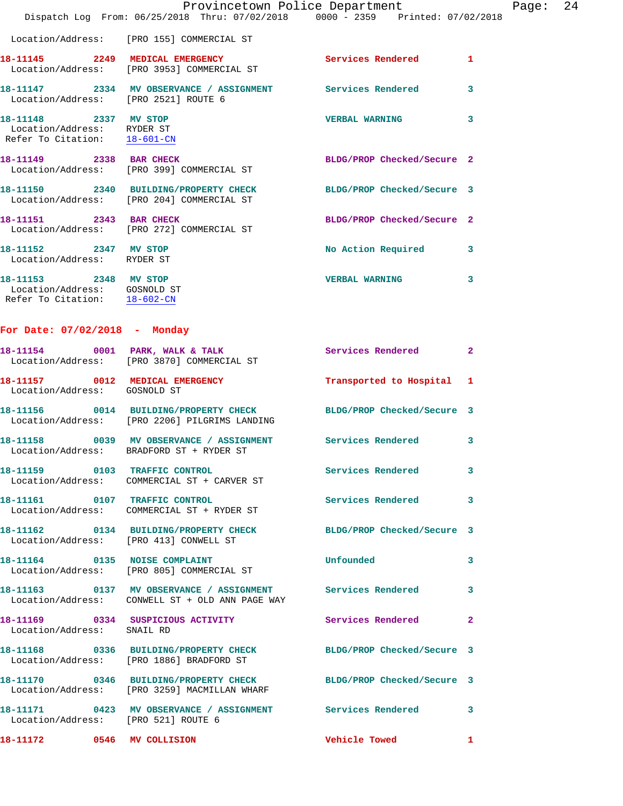|                                                                                       | Dispatch Log From: 06/25/2018 Thru: 07/02/2018 0000 - 2359 Printed: 07/02/2018                                    | Provincetown Police Department |   | Page: 24 |  |
|---------------------------------------------------------------------------------------|-------------------------------------------------------------------------------------------------------------------|--------------------------------|---|----------|--|
|                                                                                       | Location/Address: [PRO 155] COMMERCIAL ST                                                                         |                                |   |          |  |
|                                                                                       | 18-11145 2249 MEDICAL EMERGENCY Services Rendered 1<br>Location/Address: [PRO 3953] COMMERCIAL ST                 |                                |   |          |  |
| Location/Address: [PRO 2521] ROUTE 6                                                  | 18-11147 2334 MV OBSERVANCE / ASSIGNMENT Services Rendered 3                                                      |                                |   |          |  |
| 18-11148 2337 MV STOP<br>Location/Address: RYDER ST<br>Refer To Citation: 18-601-CN   |                                                                                                                   | VERBAL WARNING 3               |   |          |  |
|                                                                                       | 18-11149 2338 BAR CHECK<br>Location/Address: [PRO 399] COMMERCIAL ST                                              | BLDG/PROP Checked/Secure 2     |   |          |  |
|                                                                                       | 18-11150 2340 BUILDING/PROPERTY CHECK BLDG/PROP Checked/Secure 3<br>Location/Address: [PRO 204] COMMERCIAL ST     |                                |   |          |  |
|                                                                                       | 18-11151 2343 BAR CHECK<br>Location/Address: [PRO 272] COMMERCIAL ST                                              | BLDG/PROP Checked/Secure 2     |   |          |  |
| 18-11152 2347 MV STOP<br>Location/Address: RYDER ST                                   |                                                                                                                   | No Action Required 3           |   |          |  |
| 18-11153 2348 MV STOP<br>Location/Address: GOSNOLD ST<br>Refer To Citation: 18-602-CN |                                                                                                                   | <b>VERBAL WARNING 3</b>        |   |          |  |
| For Date: 07/02/2018 - Monday                                                         |                                                                                                                   |                                |   |          |  |
|                                                                                       | 18-11154 0001 PARK, WALK & TALK 3 Services Rendered 2<br>Location/Address: [PRO 3870] COMMERCIAL ST               |                                |   |          |  |
| Location/Address: GOSNOLD ST                                                          | 18-11157 0012 MEDICAL EMERGENCY Transported to Hospital 1                                                         |                                |   |          |  |
|                                                                                       | 18-11156 0014 BUILDING/PROPERTY CHECK BLDG/PROP Checked/Secure 3<br>Location/Address: [PRO 2206] PILGRIMS LANDING |                                |   |          |  |
|                                                                                       | 18-11158 0039 MV OBSERVANCE / ASSIGNMENT Services Rendered 3<br>Location/Address: BRADFORD ST + RYDER ST          |                                |   |          |  |
|                                                                                       | Location/Address: COMMERCIAL ST + CARVER ST                                                                       |                                | 3 |          |  |
|                                                                                       | 18-11161 0107 TRAFFIC CONTROL<br>Location/Address: COMMERCIAL ST + RYDER ST                                       | Services Rendered 3            |   |          |  |
|                                                                                       | 18-11162  0134 BUILDING/PROPERTY CHECK BLDG/PROP Checked/Secure 3<br>Location/Address: [PRO 413] CONWELL ST       |                                |   |          |  |
|                                                                                       | 18-11164 0135 NOISE COMPLAINT<br>Location/Address: [PRO 805] COMMERCIAL ST                                        | Unfounded 3                    |   |          |  |
|                                                                                       | 18-11163 0137 MV OBSERVANCE / ASSIGNMENT Services Rendered 3<br>Location/Address: CONWELL ST + OLD ANN PAGE WAY   |                                |   |          |  |
| Location/Address: SNAIL RD                                                            |                                                                                                                   |                                |   |          |  |
|                                                                                       | 18-11168 0336 BUILDING/PROPERTY CHECK BLDG/PROP Checked/Secure 3<br>Location/Address: [PRO 1886] BRADFORD ST      |                                |   |          |  |
|                                                                                       | 18-11170 0346 BUILDING/PROPERTY CHECK BLDG/PROP Checked/Secure 3<br>Location/Address: [PRO 3259] MACMILLAN WHARF  |                                |   |          |  |
| Location/Address: [PRO 521] ROUTE 6                                                   | 18-11171 0423 MV OBSERVANCE / ASSIGNMENT Services Rendered 3                                                      |                                |   |          |  |
| 18-11172 0546 MV COLLISION                                                            |                                                                                                                   | Vehicle Towed 1                |   |          |  |